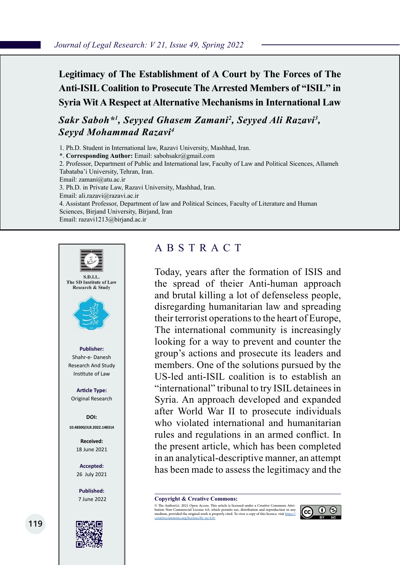# **Legitimacy of The Establishment of A Court by The Forces of The Anti-ISIL Coalition to Prosecute The Arrested Members of "ISIL" in Syria Wit A Respect at Alternative Mechanisms in International Law**

*Sakr Saboh\*1 , Seyyed Ghasem Zamani2 , Seyyed Ali Razavi3 , Seyyd Mohammad Razavi4*

1. Ph.D. Student in International law, Razavi University, Mashhad, Iran.

\*. **Corresponding Author:** Email: sabohsakr@gmail.com

2. Professor, Department of Public and International law, Faculty of Law and Political Sicences, Allameh Tabataba'i University, Tehran, Iran.

Email: zamani@atu.ac.ir

3. Ph.D. in Private Law, Razavi University, Mashhad, Iran.

Email: ali.razavi@razavi.ac.ir

4. Assistant Professor, Department of law and Political Scinces, Faculty of Literature and Human Sciences, Birjand University, Birjand, Iran

Email: razavi1213@birjand.ac.ir



# ABSTRACT

Today, years after the formation of ISIS and the spread of theier Anti-human approach and brutal killing a lot of defenseless people, disregarding humanitarian law and spreading their terrorist operations to the heart of Europe, The international community is increasingly looking for a way to prevent and counter the group's actions and prosecute its leaders and members. One of the solutions pursued by the US-led anti-ISIL coalition is to establish an "international" tribunal to try ISIL detainees in Syria. An approach developed and expanded after World War II to prosecute individuals who violated international and humanitarian rules and regulations in an armed conflict. In the present article, which has been completed in an analytical-descriptive manner, an attempt has been made to assess the legitimacy and the

**Copyright & Creative Commons:**<br>© The Author(s). 2021 Open Access. This article is licensed under a Creative Commons Attri-

© The Author(s). 2021 Open Access. This article is licensed under a Creative Commons Attri- bution Non-Commercial License 4.0, which permits use, distribution and reproduction in any medium, provided the original work is properly cited. To view a copy of this licence, visit https://<br>creativecommons.org/licenses/by-nc/4.0/.

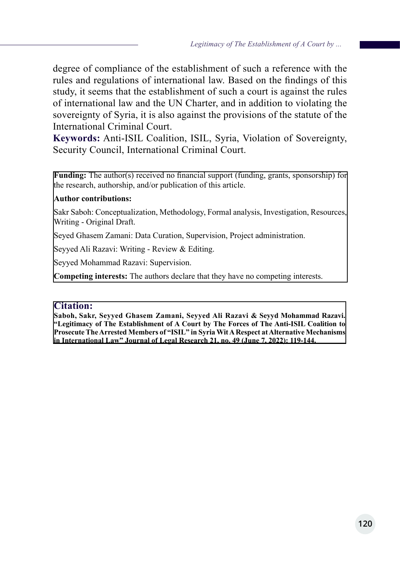degree of compliance of the establishment of such a reference with the rules and regulations of international law. Based on the findings of this study, it seems that the establishment of such a court is against the rules of international law and the UN Charter, and in addition to violating the sovereignty of Syria, it is also against the provisions of the statute of the International Criminal Court.

**Keywords:** Anti-ISIL Coalition, ISIL, Syria, Violation of Sovereignty, Security Council, International Criminal Court.

**Funding:** The author(s) received no financial support (funding, grants, sponsorship) for the research, authorship, and/or publication of this article.

#### **Author contributions:**

Sakr Saboh: Conceptualization, Methodology, Formal analysis, Investigation, Resources, Writing - Original Draft.

Seyed Ghasem Zamani: Data Curation, Supervision, Project administration.

Seyyed Ali Razavi: Writing - Review & Editing.

Seyyed Mohammad Razavi: Supervision.

**Competing interests:** The authors declare that they have no competing interests.

#### **Citation:**

**Saboh, Sakr, Seyyed Ghasem Zamani, Seyyed Ali Razavi & Seyyd Mohammad Razavi. "Legitimacy of The Establishment of A Court by The Forces of The Anti-ISIL Coalition to Prosecute The Arrested Members of "ISIL" in Syria Wit A Respect at Alternative Mechanisms in International Law" Journal of Legal Research 21, no. 49 (June 7, 2022): 119-144.**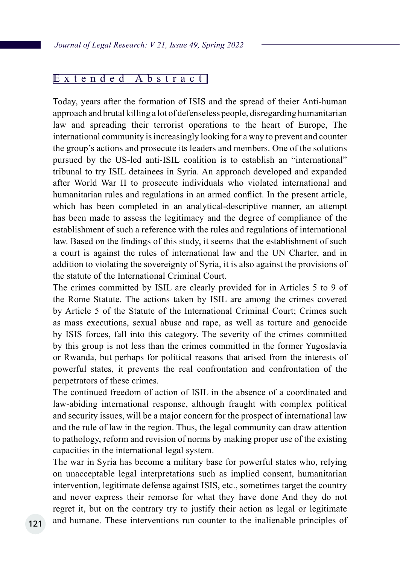## Extended Abstract

Today, years after the formation of ISIS and the spread of theier Anti-human approach and brutal killing a lot of defenseless people, disregarding humanitarian law and spreading their terrorist operations to the heart of Europe, The international community is increasingly looking for a way to prevent and counter the group's actions and prosecute its leaders and members. One of the solutions pursued by the US-led anti-ISIL coalition is to establish an "international" tribunal to try ISIL detainees in Syria. An approach developed and expanded after World War II to prosecute individuals who violated international and humanitarian rules and regulations in an armed conflict. In the present article, which has been completed in an analytical-descriptive manner, an attempt has been made to assess the legitimacy and the degree of compliance of the establishment of such a reference with the rules and regulations of international law. Based on the findings of this study, it seems that the establishment of such a court is against the rules of international law and the UN Charter, and in addition to violating the sovereignty of Syria, it is also against the provisions of the statute of the International Criminal Court.

The crimes committed by ISIL are clearly provided for in Articles 5 to 9 of the Rome Statute. The actions taken by ISIL are among the crimes covered by Article 5 of the Statute of the International Criminal Court; Crimes such as mass executions, sexual abuse and rape, as well as torture and genocide by ISIS forces, fall into this category. The severity of the crimes committed by this group is not less than the crimes committed in the former Yugoslavia or Rwanda, but perhaps for political reasons that arised from the interests of powerful states, it prevents the real confrontation and confrontation of the perpetrators of these crimes.

The continued freedom of action of ISIL in the absence of a coordinated and law-abiding international response, although fraught with complex political and security issues, will be a major concern for the prospect of international law and the rule of law in the region. Thus, the legal community can draw attention to pathology, reform and revision of norms by making proper use of the existing capacities in the international legal system.

The war in Syria has become a military base for powerful states who, relying on unacceptable legal interpretations such as implied consent, humanitarian intervention, legitimate defense against ISIS, etc., sometimes target the country and never express their remorse for what they have done And they do not regret it, but on the contrary try to justify their action as legal or legitimate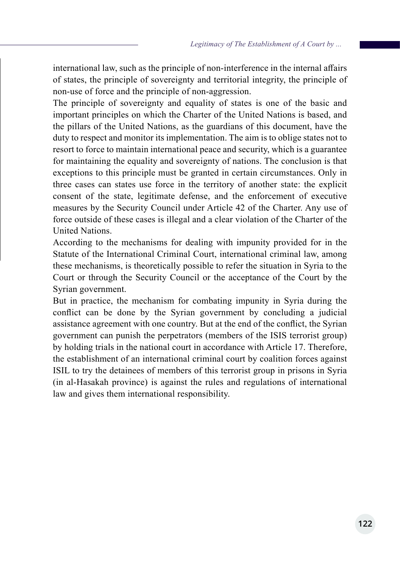international law, such as the principle of non-interference in the internal affairs of states, the principle of sovereignty and territorial integrity, the principle of non-use of force and the principle of non-aggression.

The principle of sovereignty and equality of states is one of the basic and important principles on which the Charter of the United Nations is based, and the pillars of the United Nations, as the guardians of this document, have the duty to respect and monitor its implementation. The aim is to oblige states not to resort to force to maintain international peace and security, which is a guarantee for maintaining the equality and sovereignty of nations. The conclusion is that exceptions to this principle must be granted in certain circumstances. Only in three cases can states use force in the territory of another state: the explicit consent of the state, legitimate defense, and the enforcement of executive measures by the Security Council under Article 42 of the Charter. Any use of force outside of these cases is illegal and a clear violation of the Charter of the United Nations.

According to the mechanisms for dealing with impunity provided for in the Statute of the International Criminal Court, international criminal law, among these mechanisms, is theoretically possible to refer the situation in Syria to the Court or through the Security Council or the acceptance of the Court by the Syrian government.

But in practice, the mechanism for combating impunity in Syria during the conflict can be done by the Syrian government by concluding a judicial assistance agreement with one country. But at the end of the conflict, the Syrian government can punish the perpetrators (members of the ISIS terrorist group) by holding trials in the national court in accordance with Article 17. Therefore, the establishment of an international criminal court by coalition forces against ISIL to try the detainees of members of this terrorist group in prisons in Syria (in al-Hasakah province) is against the rules and regulations of international law and gives them international responsibility.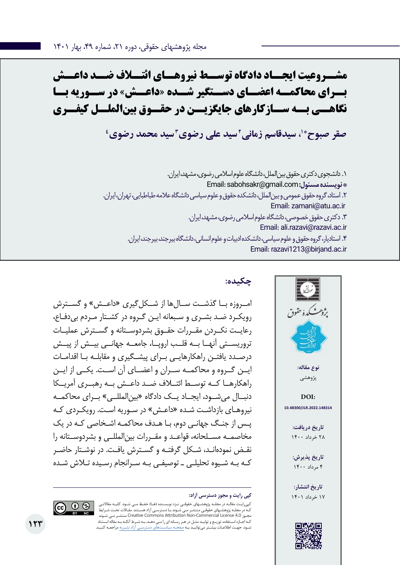**مشــروعیت ایجــاد دادگاه توســط نیروهــای ائتــاف ضــد داعــش بــرای محاکمــه اعضــای دســتگیر شــده »داعــش« در ســوریه بــا نگاهــی بــه ســازکارهای جایگزیــن در حقــوق بینالملــل کیفــری**

**4 3 سید محمد رضوی 2 سید علی رضوی \*،1 سیدقاسم زمانی صقر صبوح**

.1 دانشجوی دکتری حقوق بینالملل، دانشگاه علوم اسالمی رضوی، مشهد، ایران. Email: sabohsakr@gmail.com **:مسئول نویسنده\***  .2 استاد، گروه حقوق عمومی و بینالملل، دانشکده حقوق و علوم سیاسی دانشگاه عالمه طباطبایی، تهران، ایران. Email: zamani@atu.ac.ir .3 دکتری حقوق خصوصی، دانشگاه علوم اسالمی رضوی، مشهد، ایران. Email: ali.razavi@razavi.ac.ir .4 استادیار، گروه حقوق و علوم سیاسی، دانشکده ادبیات و علوم انسانی، دانشگاه بیرجند، بیرجند، ایران. Email: razavi1213@birjand.ac.ir



## **چکیده:**

امــروزه بــا گذشــت ســالها از شــکل $\mathbb{R}_{\geq 0}$  «داعــش» و گســترش رویکـرد ضـد بشـری و سـبعانه ایـن گـروه در کشـتار مـردم بیدفـاع، رعایــت نکــردن مقــررات حقــوق بشردوســتانه و گســترش عملیــات تروریســتی آنهــا بــه قلــب اروپــا، جامعــه جهانــی بیــش از پیــش درصـدد یافتـن راهکارهایـی بـرای پیشـگیری و مقابلـه بـا اقدامـات ایــن گــروه و محاکمــه ســران و اعضــای آن اســت. یکــی از ایــن راهکارهــا کــه توســط ائتــاف ضــد داعــش بــه رهبــری آمریــکا دنبــال میشــود، ایجــاد یــک دادگاه »بینالمللــی« بــرای محاکمــه نیروهـای بازداشـت شـده »داعـش« در سـوریه اسـت. رویکـردی کـه پـس از جنـگ جهانـی دوم، بـا هـدف محاکمـه اشـخاصی کـه در یک مخاصمــه مســلحانه، قواعــد و مقــررات بینالمللــی و بشردوســتانه را نقـض نمودهانـد، شـکل گرفتـه و گسـترش یافـت. در نوشـتار حاضـر کـه بـه شـیوه تحلیلـی ـ توصیفـی بـه سـرانجام رسـیده تـاش شـده

کپیرایـت مقالـه در مجلـه پژوهشـهای حقوقـی نـزد نویسـنده )هـا( حفـظ مـی شـود. کلیـه مقاالتـی کـه در مجلـه پژوهشـهای حقوقـی منتشـر مـی شـوند بـا دسترسـی آزاد هسـتند. مقـاالت تحـت شـرایط شـوند مـی منتشـر Creative Commons Attribution Non-Commercial License 4.0 مجـوز کـه اجـازه اسـتفاده، توزیـع و تولیـد مثـل در هـر رسـانه ای را مـی دهـد، بـه شـرط آنکـه بـه مقاله اسـتناد شـود. جهـت اطالعـات بیشـتر میتوانیـد بـه صفحـه سیاسـتهای دسترسـی آزاد نشـریه مراجعـه کنیـد.

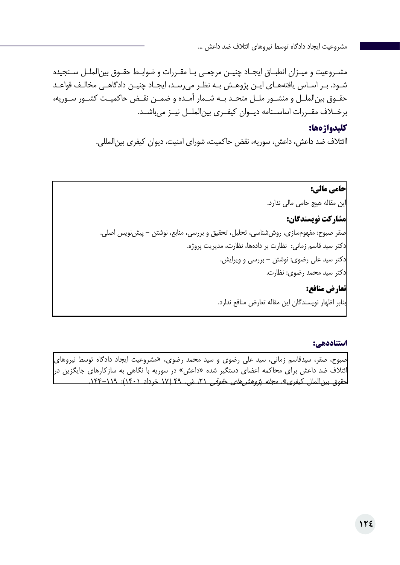مشـروعیت و میـزان انطبـاق ایجـاد چنیـن مرجعـی بـا مقـررات و ضوابـط حقـوق بینالملـل سـنجیده شـود. بـر اسـاس یافتههـای ایـن پژوهـش بـه نظـر میرسـد، ایجـاد چنیـن دادگاهـی مخالـف قواعـد حقــوق بینالملــل و منشــور ملــل متحــد بــه شــمار آمــده و ضمــن نقــض حاکمیــت کشــور ســوریه، برخــاف مقــررات اساســنامه دیــوان کیفــری بینالملــل نیــز میباشــد.

#### **کلیدواژهها:**

اائتالف ضد داعش، داعش، سوریه، نقض حاکمیت، شورای امنیت، دیوان کیفری بینالمللی.

**حامی مالی:**  این مقاله هیچ حامی مالی ندارد. **مشارکت نویسندگان:**  صقر صبوح: مفهومسازی، روششناسی، تحلیل، تحقیق و بررسی، منابع، نوشتن - پیشنویس اصلی. دکتر سید قاسم زمانی: نظارت بر دادهها، نظارت، مدیریت پروژه. دکتر سید علی رضوی: نوشتن - بررسی و ویرایش. دکتر سید محمد رضوی: نظارت. **تعارض منافع:**  بنابر اظهار نویسندگان این مقاله تعارض منافع ندارد.

#### **استناددهی:**

صبوح، صقر، سیدقاسم زمانی، سید علی رضوی و سید محمد رضوی، »مشروعیت ایجاد دادگاه توسط نیروهای ائتلاف ضد داعش برای محاکمه اعضای دستگیر شده «داعش» در سوریه با نگاهی به سازکارهای جایگزین در<mark>)</mark> حقوق بین الملل کیفری». *مجله پژوهشهای حقوقی ۲*۱، ش. ۴۹ (۱۷ خرداد ۱۴۰۱): ۱۲۹–۱۴۴.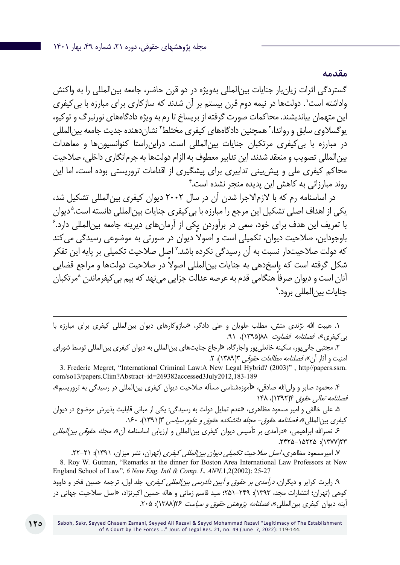**مقدمه**

گستردگی اثرات زیانبار جنایات بینالمللی بهویژه در دو قرن حاضر، جامعه بینالمللی را به واکنش واداشته است'. دولتها در نیمه دوم قرن بیستم بر آن شدند که سازکاری برای مبارزه با بی کیفری این متهمان بیاندیشند. محاکمات صورت گرفته از بریساخ تا رم به ویژه دادگاههای نورنبرگ و توکیو، یوگسلاوی سابق و رواندا،<sup>۲</sup> همچنین دادگاههای کیفری مختلط<sup>۳</sup> نشاندهنده جدیت جامعه بین|لمللی در مبارزه با بیکیفری مرتکبان جنایات بینالمللی است. دراینراستا کنوانسیونها و معاهدات بینالمللی تصویب و منعقد شدند. این تدابیر معطوف به الزام دولتها به جرمانگاری داخلی، صالحیت محاکم کیفری ملی و پیشبینی تدابیری برای پیشگیری از اقدامات تروریستی بوده است، اما این 4 روند مبارزاتی به کاهش این پدیده منجر نشده است.

در اساسنامه رم که با الزماالجرا شدن آن در سال 2002 دیوان کیفری بینالمللی تشکیل شد، یکی از اهداف اصلی تشکیل این مرجع را مبارزه با بی کیفری جنایات بینالمللی دانسته است.<sup>۵</sup> دیوان<br>با تعریف این هدف بیای خود بوم هدی به آمدن یک باز آیها زهای دیبینه جامعه بینالمللی دارد گ با تعریف این هدف برای خود، سعی در برآوردن یکی از آرمانهای دیرینه جامعه بینالمللی دارد. ً باوجوداین، صالحیت دیوان، تکمیلی است و اصوال دیوان در صورتی به موضوعی رسیدگی میکند که دولت صلاحیتدار نسبت به آن رسیدگی نکرده باشد.<sup>۷</sup> اصل صلاحیت تکمیلی بر پایه این تفکر شکل گرفته است که پاسخدهی به جنایات بین|لمللی اصولا در صلاحیت دولتها و مراجع قضایی ً آنان است و دیوان صرفا هنگامی قدم به عرصه عدالت جزایی مینهد که بیم بیکیفرماندن 8مرتکبان جنایات بین|لملل*ی* برود.<sup>۹</sup>

.1 هیبت اهلل نژندی منش، مطلب علویان و علی دادگر، »سازوکارهای دیوان بینالمللی کیفری برای مبارزه با بی کیفری»، فص*لنامه قضاوت ۱*۸۸(۱۳۹۵)، ۹۱.

.2 مجتبی جانیپور، سکینه خانعلیپور واجارگاه، »ارجاع جنایتهای بینالمللی به دیوان کیفری بینالمللی توسط شورای امنیت و آثار آن»، *فصلنامه مطالعات حقوقی* ۳(۱۳۸۹)، ۲.

3. Frederic Megret, "International Criminal Law:A New Legal Hybrid? (2003)" , http//papers.ssrn. com/so13/papers.Clim?Abstract–id=269382accessed3July2012,183-189

۴. محمود صابر و ولی|لله صادقی، «آموزهشناسی مسأله صلاحیت دیوان کیفری بین|لمللی در رسیدگی به تروریسم»، فصلنامه تعالی حقوق 4)1392(، 148

.5 علی خالقی و امیر مسعود مظاهری، »عدم تمایل دولت به رسیدگی: یکی از مبانی قابلیت پذیرش موضوع در دیوان کیفری بینالمللی»، *فصلنامه حقوق- مجله دانشکده حقوق و علوم سیاسی* ۱۳۹۱/۳، ۱۶۰.

۶ـ نصرالله ابراهیمی، «درآمدی بر تأسیس دیوان کیفری بین|لمللی و ارزیابی اساسنامه آن»*، مجله حقوقی بین|لمللی* ١٣٢٢/١٥٢٢٥ - ٢٢٢٥).

۷. امیرمسعود مظاهری، *اصل صلاحیت تکمیلی دیوان بین المللی کیفری* (تهران، نشر میزان، ۱۳۹۱): ۲۱–۲۲. 8. Roy W. Gutman, "Remarks at the dinner for Boston Area International Law Professors at New England School of Law", *6 New Eng. Intl & Comp. L. ANN*.1,2(2002): 25-27

۹. رابرت کرایر و دیگران، *درآمدی بر حقوق و آیین دادرسی بین المللی کیفری*، جلد اول، ترجمه حسین فخر و داوود کوهی )تهران؛ انتشارات مجد، 1393(: 251-249؛ سید قاسم زمانی و هاله حسین اکبرنژاد، »اصل صالحیت جهانی در آینه دیوان کیفری بین|لمللی»، *فصلنامه پژوهش حقوق و سیاست ۱*۲۶۸(۱۳۸۸): ۲۰۵.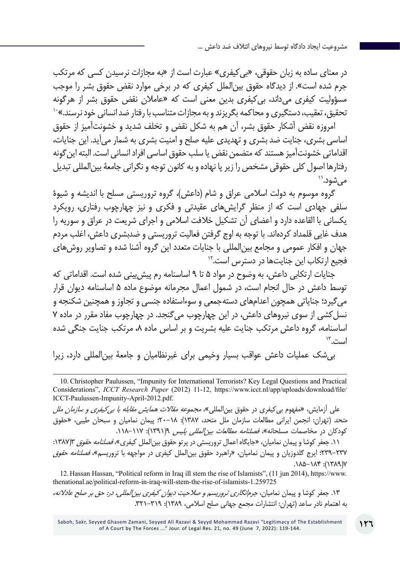در معنای ساده به زبان حقوقی، »بیکیفری« عبارت است از »به مجازات نرسیدن کسی که مرتکب جرم شده است«. از دیدگاه حقوق بینالملل کیفری که در برخی موارد نقض حقوق بشر را موجب مسؤولیت کیفری میداند، بی *ک*یفری بدین معنی است که «عاملان نقض حقوق بشر از هرگونه<br>تحقیق، تعقیب، دستگیری و محاکمه بگریزند و به مجازات متناسب با رفتار ضد انسانی خود نرسند.»<sup>۱۰</sup>

امروزه نقض آشکار حقوق بشر، آن هم به شکل نقض و تخلف شدید و خشونتآمیز از حقوق اساسی بشری، جنایت ضد بشری و تهدیدی علیه صلح و امنیت بشری به شمار میآید. این جنایات، اقداماتی خشونتآمیز هستند که متضمن نقض یا سلب حقوق اساسی افراد انسانی است. البته اینگونه رفتارها اصول کلی حقوقی مشخص را زیر پا نهاده و به کانون توجه و نگرانی جامعۀ بین|لمللی تبدیل<br>م<sub>ہ '</sub>شود.''

گروه موسوم به دولت اسلامی عراق و شام (داعش)، گروه تروریستی مسلح با اندیشه و شیوۀ سلفی جهادی است که از منظر گرایشهای عقیدتی و فکری و نیز چهارچوب رفتاری، رویکرد یکسانی با القاعده دارد و اعضای آن تشکیل خالفت اسالمی و اجرای شریعت در عراق و سوریه را هدف غایی قلمداد کردهاند. با توجه به اوج گرفتن فعالیت تروریستی و ضدبشری داعش، اغلب مردم جهان و افکار عمومی و مجامع بینالمللی با جنایات متعدد این گروه آشنا شده و تصاویر روشهای فجیع ارتکاب این جنایتها در دسترس است12.

جنایات ارتکابی داعش، به وضوح در مواد 5 تا 9 اساسنامه رم پیشبینی شده است. اقداماتی که توسط داعش در حال انجام است، در شمول اعمال مجرمانه موضوع ماده 5 اساسنامه دیوان قرار میگیرد؛ جنایاتی همچون اعدامهای دستهجمعی و سوءاستفاده جنسی و تجاوز و همچنین شکنجه و نسلکشی از سوی نیروهای داعش، در این چهارچوب میگنجد. در چهارچوب مفاد مقرر در ماده 7 اساسنامه، گروه داعش مرتکب جنایت علیه بشریت و بر اساس ماده ۸، مرتکب جنایت جنگی شده است13.

بیشک عملیات داعش عواقب بسیار وخیمی برای غیرنظامیان و جامعۀ بینالمللی دارد، زیرا

علی آزمایش، «مفهوم بی کیفری در حقوق بین|لمللی»، *مجموعه مقالات همایش مقابله با بی کیفری و سازمان ملل* متحد )تهران: انجمن ایرانی مطالعات سازمان ملل متحد، 1387(: 20-18؛ پیمان نمامیان و سبحان طیبی، »حقوق کودکان در مخاصمات مسلحانه»، *فصلنامه مطالعات بین المللی پلیس ۹*(۱۳۹۱): ۱۱۷–۱۱۸.

۰۱۱ جعفر کوشا و پیمان نمامیان، «جایگاه اعمال تروریستی در پرتو حقوق بین|لملل کیفری»*، فصلنامه حقوق* ۱۳۸۷:۲: 239-237؛ ایرج گلدوزیان و پیمان نمامیان، »راهبرد حقوق بینالملل کیفری در مواجهه با تروریسم«، فصلنامه حقوق  $(1171)$ :  $710-111$ 

12. Hassan Hassan, "Political reform in Iraq ill stem the rise of Islamists", (11 jun 2014), https://www. thenational.ae/political-reform-in-iraq-will-stem-the-rise-of-islamists-1.259725

.13 جعفر کوشا و پیمان نمامیان، جرمانگاری تروریسم و صالحیت دیوان کیفری بینالمللی، در: حق بر صلح عادالنه، به اهتمام نادر ساعد (تهران: انتشارات مجمع جهانی صلح اسلامی، ۱۳۸۹): ۳۱۹–۳۲۱.

<sup>10</sup>. Christopher Paulussen, "Impunity for International Terrorists? Key Legal Questions and Practical Considerations", *ICCT Research Paper* (2012) 11-12, https://www.icct.nl/app/uploads/download/file/ ICCT-Paulussen-Impunity-April-2012.pdf.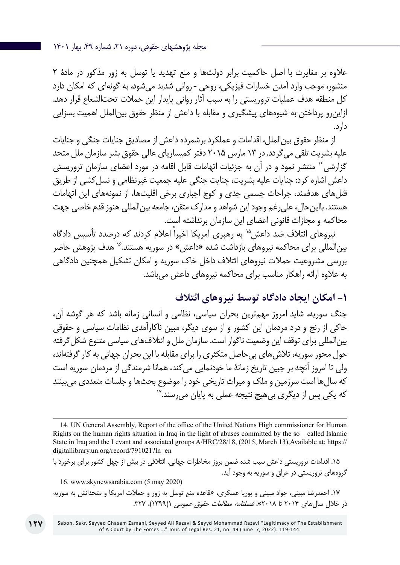عالوه بر مغایرت با اصل حاکمیت برابر دولتها و منع تهدید یا توسل به زور مذکور در مادۀ 2 منشور، موجب وارد آمدن خسارات فیزیکی، روحی ـ روانی شدید میشود، به گونهای که امکان دارد کل منطقه هدف عملیات تروریستی را به سبب آثار روانی پایدار این حمالت تحتالشعاع قرار دهد. ازاینرو پرداختن به شیوههای پیشگیری و مقابله با داعش از منظر حقوق بینالملل اهمیت بسزایی دارد.

از منظر حقوق بینالملل، اقدامات و عملکرد برشمرده داعش از مصادیق جنایات جنگی و جنایات علیه بشریت تلقی میگردد. در 13 مارس 2015 دفتر کمیساریای عالی حقوق بشر سازمان ملل متحد گزارشی\*' منتشر نمود و در آن به جزئیات اتهامات قابل اقامه در مورد اعضای سازمان تروریستی داعش اشاره کرد: جنایات علیه بشریت، جنایت جنگی علیه جمعیت غیرنظامی و نسلکشی از طریق قتلهای هدفمند، جراحات جسمی جدی و کوچ اجباری برخی اقلیتها، از نمونههای این اتهامات هستند. بااینحال، علیرغم وجود این شواهد و مدارک متقن، جامعه بینالمللی هنوز قدم خاصی جهت محاکمه و مجازات قانونی اعضای این سازمان برنداشته است.

نیروهای ائتلاف ضد داعش<sup>۱۵</sup> به رهبری آمریکا اخیراً اعلام کردند که درصدد تأسس دادگاه بین|لمللی برای محاکمه نیروهای بازداشت شده «داعش» در سوریه هستند.<sup>۱۶</sup> هدف پژوهش حاضر بررسی مشروعیت حمالت نیروهای ائتالف داخل خاک سوریه و امکان تشکیل همچنین دادگاهی به عالوه ارائه راهکار مناسب برای محاکمه نیروهای داعش میباشد.

# **-1 امکان ایجاد دادگاه توسط نیروهای ائتالف**

جنگ سوریه، شاید امروز مهمترین بحران سیاسی، نظامی و انسانی زمانه باشد که هر گوشه آن، حاکی از رنج و درد مردمان این کشور و از سوی دیگر، مبین ناکارآمدی نظامات سیاسی و حقوقی بین|لمللی برای توقف این وضعیت ناگوار است. سازمان ملل و ائتلافهای سیاسی متنوع شکل گرفته حول محور سوریه، تالشهای بیحاصل متکثری را برای مقابله با این بحران جهانی به کار گرفتهاند، ولی تا امروز آنچه بر جبین تاریخ زمانۀ ما خودنمایی میکند، همانا شرمندگی از مردمان سوریه است که سالها است سرزمین و ملک و میراث تاریخی خود را موضوع بحثها و جلسات متعددی میبینند<br>که یکی پس از دیگری بے هیچ نتیجه عملے ، به پایان می رسند.<sup>۱۷</sup>

Saboh, Sakr, Seyyed Ghasem Zamani, Seyyed Ali Razavi & Seyyd Mohammad Razavi "Legitimacy of The Establishment of A Court by The Forces ..." Jour. of Legal Res. 21, no. 49 (June 7, 2022): 119-144.

<sup>14.</sup> UN General Assembly, Report of the office of the United Nations High commissioner for Human Rights on the human rights situation in Iraq in the light of abuses committed by the so – called Islamic State in Iraq and the Levant and associated groups A/HRC/28/18, (2015, March 13),Available at: https:// digitallibrary.un.org/record/791021?ln=en

<sup>.15</sup> اقدامات تروریستی داعش سبب شده ضمن بروز مخاطرات جهانی، ائتالفی در بیش از چهل کشور برای برخورد با گروههای تروریستی در عراق و سوریه به وجود آید. 16. www.skynewsarabia.com (5 may 2020)

<sup>.17</sup> احمدرضا مبینی، جواد مبینی و پوریا عسکری، »قاعده منع توسل به زور و حمالت امریکا و متحدانش به سوریه در خلال سال های ۲۰۱۴ تا ۲۰۱۸»، *فصلنامه مطالعات حقوق عمومی* ((۱۳۹۹)، ۳۲۷.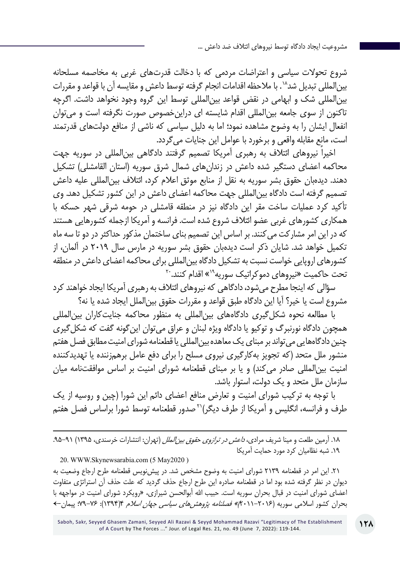شروع تحوالت سیاسی و اعتراضات مردمی که با دخالت قدرتهای غربی به مخاصمه مسلحانه بین|لمللی تبدیل شد^` . با ملاحظه اقدامات انجام گرفته توسط داعش و مقایسه آن با قواعد و مقررات بینالمللی شک و ابهامی در نقض قواعد بینالمللی توسط این گروه وجود نخواهد داشت. اگرچه تاکنون از سوی جامعه بینالمللی اقدام شایسته ای دراینخصوص صورت نگرفته است و میتوان انفعال ایشان را به وضوح مشاهده نمود؛ اما به دلیل سیاسی که ناشی از منافع دولتهای قدرتمند است، مانع مقابله واقعی و برخورد با عوامل این جنایات میگردد.

اخیراً نیروهای ائتالف به رهبری آمریکا تصمیم گرفتند دادگاهی بینالمللی در سوریه جهت محاکمه اعضای دستگیر شده داعش در زندانهای شمال شرق سوریه )استان القامشلی( تشکیل دهند. دیدهبان حقوق بشر سوریه به نقل از منابع موثق اعالم کرد، ائتالف بینالمللی علیه داعش تصمیم گرفته است دادگاه بینالمللی جهت محاکمه اعضای داعش در این کشور تشکیل دهد. وی تأکید کرد عملیات ساخت مقر این دادگاه نیز در منطقه قامشلی در حومه شرقی شهر حسکه با همکاری کشورهای غربی عضو ائتالف شروع شده است. فرانسه و آمریکا ازجمله کشورهایی هستند که در این امر مشارکت میکنند. بر اساس این تصمیم بنای ساختمان مذکور حداکثر در دو تا سه ماه تکمیل خواهد شد. شایان ذکر است دیدهبان حقوق بشر سوریه در مارس سال 2019 در آلمان، از کشورهای اروپایی خواست نسبت به تشکیل دادگاه بینالمللی برای محاکمه اعضای داعش در منطقه تحت حاکمیت «نیروهای دموکراتیک سوریه<sup>۱۹</sup>» اقدام کنند.<sup>۲۰</sup>

سؤالی که اینجا مطرح میشود، دادگاهی که نیروهای ائتالف به رهبری آمریکا ایجاد خواهند کرد مشروع است یا خیر؟ آیا این دادگاه طبق قواعد و مقررات حقوق بینالملل ایجاد شده یا نه؟

با مطالعه نحوه شکلگیری دادگاههای بینالمللی به منظور محاکمه جنایتکاران بینالمللی همچون دادگاه نورنبرگ و توکیو یا دادگاه ویژه لبنان و عراق میتوان اینگونه گفت که شکلگیری چنین دادگاههایی میتواند بر مبنای یک معاهده بینالمللی یا قطعنامه شورای امنیت مطابق فصل هفتم منشور ملل متحد (که تجویز بهکارگیری نیروی مسلح را برای دفع عامل برهمزننده یا تهدیدکننده امنیت بین|لمللی صادر میکند) و یا بر مبنای قطعنامه شورای امنیت بر اساس موافقتنامه میان سازمان ملل متحد و یک دولت، استوار باشد.

با توجه به ترکیب شورای امنیت و تعارض منافع اعضای دائم این شورا )چین و روسیه از یک طرف و فرانسه، انگلیس و آمریکا از طرف دیگر(21صدور قطعنامه توسط شورا براساس فصل هفتم

۱۸. آرمین طلعت و مینا شریف مراد*ی، د<i>اعش در ترازوی حقوق بین الملل* (تهران: انتشارات خرسندی، ۱۳۹۵) ۹۱–۹۵. .19 شبه نظامیان کرد مورد حمایت آمریکا 20. WWW.Skynewsarabia.com (5 May2020 )

.21 این امر در قطعنامه 2139 شورای امنیت به وضوح مشخص شد. در پیشنویس قطعنامه طرح ارجاع وضعیت به دیوان در نظر گرفته شده بود اما در قطعنامه صادره این طرح ارجاع حذف گردید که علت حذف آن استراتژی متفاوت اعضای شورای امنیت در قبال بحران سوریه است. حبیب الله أبوالحسن شیرازی، «رویکرد شورای امنیت در مواجهه با بحران کشور اسلامی سوریه (۲۰۱۶–۲۰۱۱)» *فصلنامه پژوهش های سیاسی جهان اسلام* ۴(۱۳۹۴): ۷۶–۷: پیمان←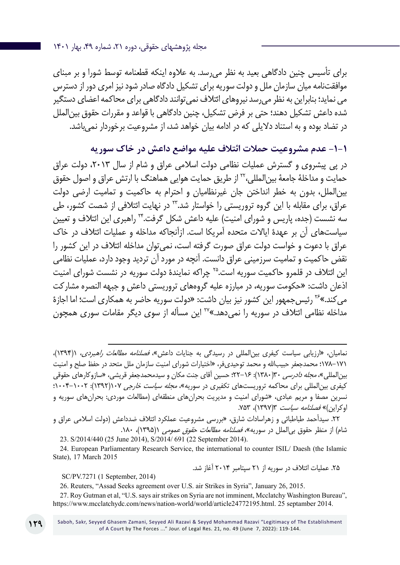مجله پژوهشهای حقوقی، دوره ،21 شماره ،49 بهار 1401

برای تأسیس چنین دادگاهی بعید به نظر میرسد. به عالوه اینکه قطعنامه توسط شورا و بر مبنای موافقتنامه میان سازمان ملل و دولت سوریه برای تشکیل دادگاه صادر شود نیز امری دور از دسترس می نماید؛ بنابراین به نظر میرسد نیروهای ائتالف نمیتوانند دادگاهی برای محاکمه اعضای دستگیر شده داعش تشکیل دهند؛ حتی بر فرض تشکیل، چنین دادگاهی با قواعد و مقررات حقوق بینالملل در تضاد بوده و به استناد دالیلی که در ادامه بیان خواهد شد، از مشروعیت برخوردار نمیباشد.

**-1-1 عدم مشروعیت حمالت ائتالف علیه مواضع داعش در خاک سوریه**

در پی پیشروی و گسترش عملیات نظامی دولت اسلامی عراق و شام از سال ۲۰۱۳، دولت عراق حمایت و مداخلۀ جامعۀ بینالمللی22، از طریق حمایت هوایی هماهنگ با ارتش عراق و اصول حقوق بینالملل، بدون به خطر انداختن جان غیرنظامیان و احترام به حاکمیت و تمامیت ارضی دولت عراق، برای مقابله با این گروه تروریستی را خواستار شد.<sup>۲۲</sup> در نهایت ائتلافی از شصت کشور، طی سه نشست (جده، پاریس و شورای امنیت) علیه داعش شکل گرفت.\*۲ راهبری این ائتلاف و تعیین سیاستهای آن بر عهدۀ ایاالت متحده آمریکا است. ازآنجاکه مداخله و عملیات ائتالف در خاک عراق با دعوت و خواست دولت عراق صورت گرفته است، نمیتوان مداخله ائتالف در این کشور را نقض حاکمیت و تمامیت سرزمینی عراق دانست. آنچه در مورد آن تردید وجود دارد، عملیات نظامی این ائتالف در قلمرو حاکمیت سوریه است25. چراکه نمایندۀ دولت سوریه در نشست شورای امنیت اذعان داشت: »حکومت سوریه، در مبارزه علیه گروههای تروریستی داعش و جبهه النصره مشارکت می کند.»<sup>۲۶</sup> رئیس جمهور این کشور نیز بیان داشت: «دولت سوریه حاضر به همکاری است؛ اما اجازۀ مداخله نظامی ائتالف در سوریه را نمیدهد.«27 این مسأله از سوی دیگر مقامات سوری همچون

نمامیان، «ارزیابی سیاست کیفری بین المللی در رسیدگی به جنایات داعش» *فصلنامه مطالعات راهبردی*، ۱۳۹۴۱)، 178-171؛ محمدجعفر حبیباهلل و محمد توحیدیفر، »اختیارات شورای امنیت سازمان ملل متحد در حفظ صلح و امنیت بین|لملل*ی»، مجله دادرسی* ۱۳(۱۳۸۰): ۱۶–۲۲؛ حسین آقای جنت مکان و سیدمحمدجعفر قریشی، «سازوکارهای حقوقی کیفری بینالمللی برای محاکمه تروریستهای تکفیری در سوریه»، *مجله سیاست خارجی ۱۰۷*(۱۳۹۲): ۲۰۰۲–۱۰۰۴؛ نسرین مصفا و مریم عبادی، «شورای امنیت و مدیریت بحرانهای منطقهای (مطالعات موردی: بحرانهای سوریه و اوکراین)» *فصلنامه سیاست* ۱۳۹۷)، ۷۵۳.

.22 سیدأحمد طباطبائی و زهراسادات شارق، »بررسی مشروعیت عملکرد ائتالف ضدداعش )دولت اسالمی عراق و شام) از منظر حقوق بی|لملل در سوریه»، *فصلنامه مطالعات حقوق عمومی* ۱(۱۳۹۵)، ۱۸۰.

23. S/2014/440 (25 June 2014), S/2014/ 691 (22 September 2014).

24. European Parliamentary Research Service, the international to counter ISIL/ Daesh (the Islamic State), 17 March 2015

.25 عملیات ائتالف در سوریه از 21 سپتامبر 2014 آغاز شد.

SC/PV.7271 (1 September, 2014)

26. Reuters, "Assad Seeks agreement over U.S. air Strikes in Syria", January 26, 2015.

27. Roy Gutman et al, "U.S. says air strikes on Syria are not imminent, Mcclatchy Washington Bureau", https://www.mcclatchydc.com/news/nation-world/world/article24772195.html. 25 septamber 2014.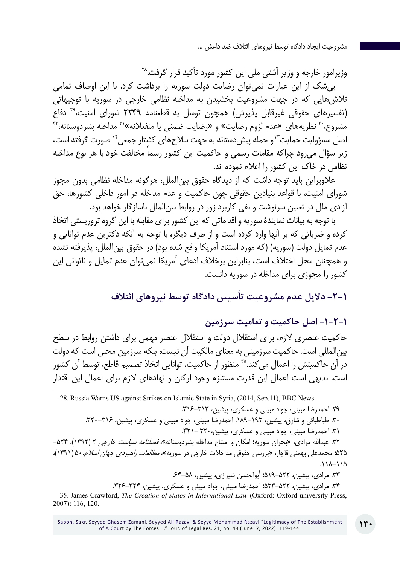وزیرامور خارجه و وزیر آشتی ملی این کشور مورد تأکید قرار گرفت28. بیشک از این عبارات نمیتوان رضایت دولت سوریه را برداشت کرد. با این اوصاف تمامی تالشهایی که در جهت مشروعیت بخشیدن به مداخله نظامی خارجی در سوریه با توجیهاتی )تفسیرهای حقوقی غیرقابل پذیرش( همچون توسل به قطعنامه 2249 شورای امنیت29، دفاع مشروع، ّ نظریههای «عدم لزوم رضایت» و «رضایت ضمنی یا منفعلانه»<sup>۳</sup>۰ مداخله بشردوستانه، ۳<sup>۲</sup> اصل مسؤولیت حمایت™و حمله پیش دستانه به جهت سلاحهای کشتار جمعی™صورت گرفته است، زیر سؤال می رود چراکه مقامات رسمی و حاکمیت این کشور رسماً مخالفت خود با هر نوع مداخله نظامی در خاک این کشور را اعالم نموده اند.

عالوبراین باید توجه داشت که از دیدگاه حقوق بینالملل، هرگونه مداخله نظامی بدون مجوز شورای امنیت، با قواعد بنیادین حقوقی چون حاکمیت و عدم مداخله در امور داخلی کشورها، حق آزادی ملل در تعیین سرنوشت و نفی کاربرد زور در روابط بینالملل ناسازگار خواهد بود.

با توجه به بیانات نمایندۀ سوریه و اقداماتی که این کشور برای مقابله با این گروه تروریستی اتخاذ کرده و ضرباتی که بر آنها وارد کرده است و از طرف دیگر، با توجه به آنکه دکترین عدم توانایی و عدم تمایل دولت (سوریه) (که مورد استناد آمریکا واقع شده بود) در حقوق بین|لملل، پذیرفته نشده و همچنان محل اختالف است، بنابراین برخالف ادعای آمریکا نمیتوان عدم تمایل و ناتوانی این کشور را مجوزی برای مداخله در سوریه دانست.

**-2-1 دالیل عدم مشروعیت تأسیس دادگاه توسط نیروهای ائتالف**

## **-1-2-1 اصل حاکمیت و تمامیت سرزمین**

حاکمیت عنصری الزم، برای استقالل دولت و استقالل عنصر مهمی برای داشتن روابط در سطح بینالمللی است. حاکمیت سرزمینی به معنای مالکیت آن نیست، بلکه سرزمین محلی است که دولت در آن حاکمیتش را اعمال میکند35. منظور از حاکمیت، توانایی اتخاذ تصمیم قاطع، توسط آن کشور است. بدیهی است اعمال این قدرت مستلزم وجود ارکان و نهادهای لازم برای اعمال این اقتدار

28. Russia Warns US against Strikes on Islamic State in Syria, (2014, Sep.11), BBC News. .29 احمدرضا مبینی، جواد مبینی و عسکری، پیشین، .316-313 .30 طباطبائی و شارق، پیشین، .189-192 احمدرضا مبینی، جواد مبینی و عسکری، پیشین، .320-316 ۳۱. احمدرضا مبینی، جواد مبینی و عسکری، پیشین،۳۲۰ -۳۲۱. ۳۲. عبدالله مرادی، «بحران سوریه؛ امکان و امتناع مداخله بشردوستانه»، *فصلنامه سیاست خارجی* ۲ (۱۳۹۲)، ۵۲۴– ۵۲۵؛ محمدعلی بهمنی قاجار، «بررسی حقوقی مداخلات خارجی در سوریه»، *مطالعات راهبردی جهان اسلام،* ۵۰ (۱۳۹۱)، .118-115 ۳۳. مرادی، پیشین، ۵۲۲–۵۱۹؛ أبوالحسن شیرازی، پیشین، ۵۸–۶۴۔ .34 مرادی، پیشین، 523-522؛ احمدرضا مبینی، جواد مبینی و عسکری، پیشین، .326-324

35. James Crawford, *The Creation of states in International Law* (Oxford: Oxford university Press, 2007): 116, 120.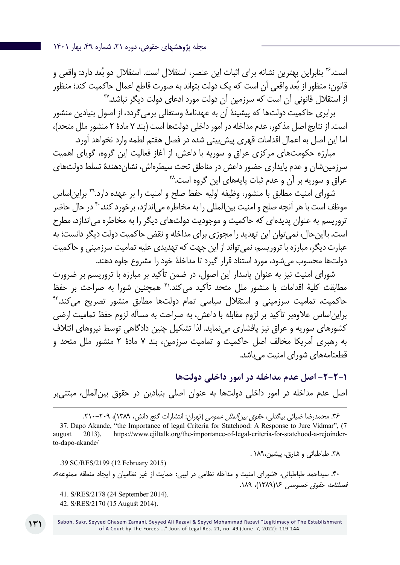مجله پژوهشهای حقوقی، دوره ،21 شماره ،49 بهار 1401

است.<sup>۳۶</sup> بنابراین بهترین نشانه برای اثبات این عنصر، استقلال است. استقلال دو بُعد دارد: واقعی و قانون؛ منظور از بُعد واقعی اّن است که یک دولت بتواند به صورت قاطع اعمال حاکمیت کند؛ منظور از استقالل قانونی آن است که سرزمین آن دولت مورد ادعای دولت دیگر نباشد37.

برابری حاکمیت دولتها که پیشینۀ آن به عهدنامۀ وستفالی برمیگردد، از اصول بنیادین منشور است. از نتایج اصل مذکور، عدم مداخله در امور داخلی دولتها است )بند 7 مادۀ 2 منشور ملل متحد(، اما این اصل به اعمال اقدامات قهری پیشبینی شده در فصل هفتم لطمه وارد نخواهد آورد.

مبارزه حکومتهای مرکزی عراق و سوریه با داعش، از آغاز فعالیت این گروه، گویای اهمیت سرزمینشان و عدم پایداری حضور داعش در مناطق تحت سیطرهاش، نشاندهندۀ تسلط دولتهای عراق و سوریه بر آن و عدم ثبات پایههای این گروه است.^"

شورای امنیت مطابق با منشور، وظیفه اولیه حفظ صلح و امنیت را بر عهده دارد39. برایناساس موظف است با هر آنچه صلح و امنیت بین|لمللی را به مخاطره می|ندازد، برخورد کند. ۴۰ در حال حاضر تروریسم به عنوان پدیدهای که حاکمیت و موجودیت دولتهای دیگر را به مخاطره میاندازد، مطرح است. بااینحال، نمیتوان این تهدید را مجوزی برای مداخله و نقض حاکمیت دولت دیگر دانست؛ به عبارت دیگر، مبارزه با تروریسم، نمیتواند از این جهت که تهدیدی علیه تمامیت سرزمینی و حاکمیت دولتها محسوب میشود، مورد استناد قرار گیرد تا مداخلۀ خود را مشروع جلوه دهند.

شورای امنیت نیز به عنوان پاسدار این اصول، در ضمن تأکید بر مبارزه با تروریسم بر ضرورت مطابقت کلیۀ اقدامات با منشور ملل متحد تأکید می کند.<sup>۴۱</sup> همچنین شورا به صراحت بر حفظ حاکمیت، تمامیت سرزمینی و استقالل سیاسی تمام دولتها مطابق منشور تصریح میکند42. برایناساس عالوهبر تأکید بر لزوم مقابله با داعش، به صراحت به مسأله لزوم حفظ تمامیت ارضی کشورهای سوریه و عراق نیز پافشاری مینماید. لذا تشکیل چنین دادگاهی توسط نیروهای ائتالف به رهبری آمریکا مخالف اصل حاکمیت و تمامیت سرزمین، بند 7 مادۀ 2 منشور ملل متحد و قطعنامههای شورای امنیت میباشد.

## **-2-2-1 اصل عدم مداخله در امور داخلی دولتها**

اصل عدم مداخله در امور داخلی دولتها به عنوان اصلی بنیادین در حقوق بینالملل، مبتنیبر

۳۶. محمدرضا ضیائی بیگدلی، ح*قوق بین الملل عمومی* (تهران: انتشارات گنج دانش، ۱۳۸۹)، ۲۰۹–۲۱۰. 37. Dapo Akande, "the Importance of legal Criteria for Statehood: A Response to Jure Vidmar", (7 august 2013), https://www.ejiltalk.org/the-importance-of-legal-criteria-for-statehood-a-rejoinderto-dapo-akande/

.38 طباطبائی و شارق، پیشین189، .

.39 SC/RES/2199 (12 February 2015) .40 سیداحمد طباطبائی، »شورای امنیت و مداخله نظامی در لیبی: حمایت از غیر نظامیان و ایجاد منطقه ممنوعه«، فصلنامه حقوق خصوصی 16)1389(، .189 41. S/RES/2178 (24 September 2014).

42. S/RES/2170 (15 August 2014).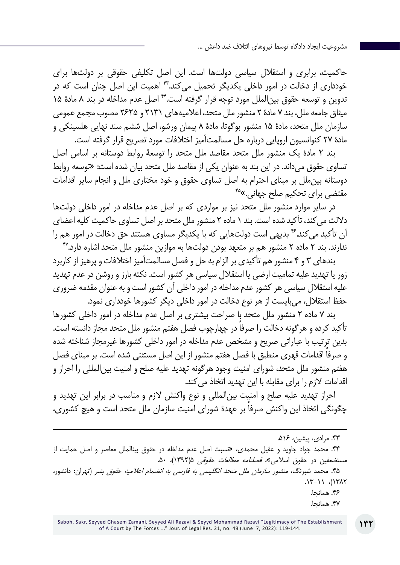حاکمیت، برابری و استقالل سیاسی دولتها است. این اصل تکلیفی حقوقی بر دولتها برای خودداری از دخالت در امور داخلی یکدیگر تحمیل میکند43. اهمیت این اصل چنان است که در تدوین و توسعه حقوق بینالملل مورد توجه قرار گرفته است44. اصل عدم مداخله در بند 8 مادۀ 15 میثاق جامعه ملل، بند 7 مادۀ 2 منشور ملل متحد، اعالمیههای 2131 و 2625 مصوب مجمع عمومی سازمان ملل متحد، مادۀ 15 منشور بوگوتا، مادۀ 8 پیمان ورشو، اصل ششم سند نهایی هلسینکی و مادۀ 27 کنوانسیون اروپایی درباره حل مسالمتآمیز اختالفات مورد تصریح قرار گرفته است.

بند 2 مادۀ یک منشور ملل متحد مقاصد ملل متحد را توسعۀ روابط دوستانه بر اساس اصل تساوی حقوق میداند. در این بند به عنوان یکی از مقاصد ملل متحد بیان شده است: »توسعه روابط دوستانه بینملل بر مبنای احترام به اصل تساوی حقوق و خود مختاری ملل و انجام سایر اقدامات مقتضی برای تحکیم صلح جهانی.»<sup>۴۵</sup>

در سایر موارد منشور ملل متحد نیز بر مواردی که بر اصل عدم مداخله در امور داخلی دولتها داللت میکند، تأکید شده است. بند 1 ماده 2 منشور ملل متحد بر اصل تساوی حاکمیت کلیه اعضای آن تأکید می کند.۴۶ بدیهی است دولتهایی که با یکدیگر مساوی هستند حق دخالت در امور هم را ندارند. بند 2 ماده 2 منشور هم بر متعهد بودن دولتها به موازین منشور ملل متحد اشاره دارد47.

بندهای 3 و 4 منشور هم تأکیدی بر الزام به حل و فصل مسالمتآمیز اختالفات و پرهیز از کاربرد زور یا تهدید علیه تمامیت ارضی یا استقالل سیاسی هر کشور است. نکته بارز و روشن در عدم تهدید علیه استقالل سیاسی هر کشور عدم مداخله در امور داخلی آن کشور است و به عنوان مقدمه ضروری حفظ استقالل، میبایست از هر نوع دخالت در امور داخلی دیگر کشورها خودداری نمود.

بند 7 ماده 2 منشور ملل متحد با صراحت بیشتری بر اصل عدم مداخله در امور داخلی کشورها ً تأکید کرده و هرگونه دخالت را صرفا در چهارچوب فصل هفتم منشور ملل متحد مجاز دانسته است. بدین ترتیب با عباراتی صریح و مشخص عدم مداخله در امور داخلی کشورها غیرمجاز شناخته شده ً و صرفا اقدامات قهری منطبق با فصل هفتم منشور از این اصل مستثنی شده است. بر مبنای فصل هفتم منشور ملل متحد، شورای امنیت وجود هرگونه تهدید علیه صلح و امنیت بینالمللی را احراز و اقدامات الزم را برای مقابله با این تهدید اتخاذ میکند.

احراز تهدید علیه صلح و امنیت بینالمللی و نوع واکنش الزم و مناسب در برابر این تهدید و ً چگونگی اتخاذ این واکنش صرفا بر عهدۀ شورای امنیت سازمان ملل متحد است و هیچ کشوری،

<sup>.43</sup> مرادی، پیشین، .516

<sup>.44</sup> محمد جواد جاوید و عقیل محمدی، »نسبت اصل عدم مداخله در حقوق بينالملل معاصر و اصل حمايت از مستضعفين در حقوق اسلامي»، *فصلنامه مطالعات حقوقی* ۱۳۹۲/۵، ۵۰.

۴۵. محمد شبرنگ، *منشور سازمان ملل متحد انگلیسی به فارسی به انضمام اعلامیه حقوق بشر* (تهران: دانشور،  $(17/1)$ ,  $(17/1)$ 

<sup>.46</sup> همانجا. .47 همانجا.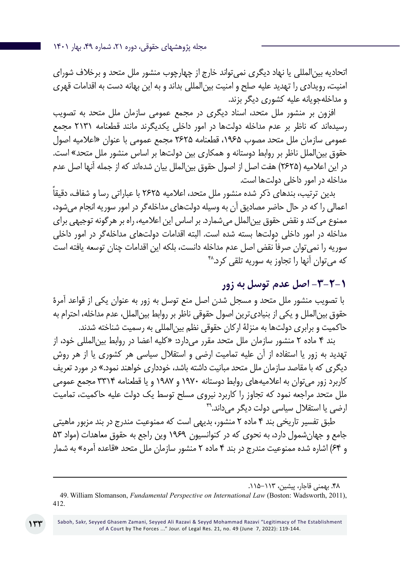اتحادیه بینالمللی یا نهاد دیگری نمیتواند خارج از چهارچوب منشور ملل متحد و برخالف شورای امنیت، رویدادی را تهدید علیه صلح و امنیت بینالمللی بداند و به این بهانه دست به اقدامات قهری و مداخلهجویانه علیه کشوری دیگر بزند.

افزون بر منشور ملل متحد، اسناد دیگری در مجمع عمومی سازمان ملل متحد به تصویب رسیدهاند که ناظر بر عدم مداخله دولتها در امور داخلی یکدیگرند مانند قطعنامه 2131 مجمع عمومی سازمان ملل متحد مصوب ،1965 قطعنامه 2625 مجمع عمومی با عنوان »اعالمیه اصول حقوق بینالملل ناظر بر روابط دوستانه و همکاری بین دولتها بر اساس منشور ملل متحد« است. در این اعلامیه (۲۶۲۵) هفت اصل از اصول حقوق بین|لملل بیان شدهاند که از جمله آنها اصل عدم مداخله در امور داخلی دولتها است.

بدین ترتیب، بندهای ذکر شده منشور ملل متحد، اعالمیه 2625 ً با عباراتی رسا و شفاف، دقیقا اعمالی را که در حال حاضر مصادیق آن به وسیله دولتهای مداخلهگر در امور سوریه انجام میشود، ممنوع میکند و نقض حقوق بینالملل میشمارد. بر اساس این اعالمیه، راه بر هرگونه توجیهی برای مداخله در امور داخلی دولتها بسته شده است. البته اقدامات دولتهای مداخلهگر در امور داخلی سوریه را نمی ً توان صرفا نقض اصل عدم مداخله دانست، بلکه این اقدامات چنان توسعه یافته است که می توان آنها را تجاوز به سوریه تلقی کرد.^\*

# **-3-2-1 اصل عدم توسل به زور**

 با تصویب منشور ملل متحد و مسجل شدن اصل منع توسل به زور به عنوان یکی از قواعد آمرۀ حقوق بینالملل و یکی از بنیادیترین اصول حقوقی ناظر بر روابط بینالملل، عدم مداخله، احترام به حاکمیت و برابری دولتها به منزلۀ ارکان حقوقی نظم بینالمللی به رسمیت شناخته شدند.

بند 4 ماده 2 منشور سازمان ملل متحد مقرر میدارد: »کلیه اعضا در روابط بینالمللی خود، از تهدید به زور یا استفاده از آن علیه تمامیت ارضی و استقالل سیاسی هر کشوری یا از هر روش دیگری که با مقاصد سازمان ملل متحد مبانیت داشته باشد، خودداری خواهند نمود.» در مورد تعریف کاربرد زور میتوان به اعالمیههای روابط دوستانه 1970 و 1987 و یا قطعنامه 3314 مجمع عمومی ملل متحد مراجعه نمود که تجاوز را کاربرد نیروی مسلح توسط یک دولت علیه حاکمیت، تمامیت ارضی یا استقلال سیاسی دولت دیگر می داند.<sup>۴۹</sup>

طبق تفسیر تاریخی بند 4 ماده 2 منشور، بدیهی است که ممنوعیت مندرج در بند مزبور ماهیتی جامع و جهانشمول دارد، به نحوی که در کنوانسیون 1969 وین راجع به حقوق معاهدات )مواد 53 و 64( اشاره شده ممنوعیت مندرج در بند 4 ماده 2 منشور سازمان ملل متحد »قاعده آمره« به شمار

<sup>.48</sup> بهمنی قاجار، پیشین، .115-113

<sup>49</sup>. William Slomanson, *Fundamental Perspective on International Law* (Boston: Wadsworth, 2011), 412.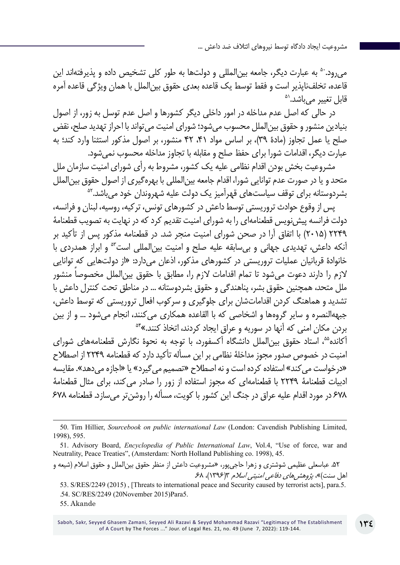می رود.<sup>۵۰</sup> به عبارت دیگر، جامعه بین|لمللی و دولتها به طور کلی تشخیص داده و پذیرفتهاند این قاعده، تخلفناپذیر است و فقط توسط یک قاعده بعدی حقوق بینالملل با همان ویژگی قاعده آمره<br>قابل تغییر می باشد.<sup>ده</sup>

در حالی که اصل عدم مداخله در امور داخلی دیگر کشورها و اصل عدم توسل به زور، از اصول بنیادین منشور و حقوق بینالملل محسوب میشود؛ شورای امنیت میتواند با احراز تهدید صلح، نقض صلح یا عمل تجاوز (مادۀ ٣٩)، بر اساس مواد ۴٦، ۴٢ منشور، بر اصول مذکور استثنا وارد کند؛ به عبارت دیگر، اقدامات شورا برای حفظ صلح و مقابله با تجاوز مداخله محسوب نمیشود.

مشروعیت بخش بودن اقدام نظامی علیه یک کشور، مشروط به رأی شورای امنیت سازمان ملل متحد و یا در صورت عدم توانایی شورا، اقدام جامعه بینالمللی با بهرهگیری از اصول حقوق بینالملل بشردوستانه برای توقف سیاستهای قهرآمیز یک دولت علیه شهروندان خود مے باشد.<sup>۵۲</sup>

پس از وقوع حوادث تروریستی توسط داعش در کشورهای تونس، ترکیه، روسیه، لبنان و فرانسه، دولت فرانسه پیشنویس قطعنامهای را به شورای امنیت تقدیم کرد که در نهایت به تصویب قطعنامۀ 2249 )2015( با اتفاق آرا در صحن شورای امنیت منجر شد. در قطعنامه مذکور پس از تأکید بر آنکه داعش، تهدیدی جهانی و بیسابقه علیه صلح و امنیت بینالمللی است53 و ابراز همدردی با خانوادۀ قربانیان عملیات تروریستی در کشورهای مذکور، اذعان میدارد: »از دولتهایی که توانایی الزم را دارند دعوت میشود تا تمام اقدامات الزم را، مطابق با حقوق بین ً الملل مخصوصا منشور ملل متحد، همچنین حقوق بشر، پناهندگی و حقوق بشردوستانه ... در مناطق تحت کنترل داعش با تشدید و هماهنگ کردن اقداماتشان برای جلوگیری و سرکوب افعال تروریستی که توسط داعش، جبههالنصره و سایر گروهها و اشخاصی که با القاعده همکاری میکنند، انجام میشود ... و از بین بردن مکان امنی که آنها در سوریه و عراق ایجاد کردند، اتخاذ کنند.«54

آکانده،55 استاد حقوق بینالملل دانشگاه آکسفورد، با توجه به نحوۀ نگارش قطعنامههای شورای امنیت در خصوص صدور مجوز مداخلۀ نظامی بر این مسأله تأکید دارد که قطعنامه 2249 از اصطالح »درخواست میکند« استفاده کرده است و نه اصطالح »تصمیم میگیرد« یا »اجازه میدهد«. مقایسه ادبیات قطعنامۀ 2249 با قطعنامهای که مجوز استفاده از زور را صادر میکند، برای مثال قطعنامۀ 678 در مورد اقدام علیه عراق در جنگ این کشور با کویت، مسأله را روشنتر میسازد. قطعنامه 678

.52 عباسعلی عظیمی شوشتری و زهرا حاجیپور، »مشروعیت داعش از منظر حقوق بینالملل و حقوق اسالم )شیعه و اهل سنت)»، *پژوهشهای دفاعی امنیتی اسلام* ۳(۱۳۹۶)، ۶۸.

53. S/RES/2249 (2015) , [Threats to international peace and Security caused by terrorist acts], para.5. .54. SC/RES/2249 (20November 2015)Para5.

55. Akande

<sup>50</sup>. Tim Hillier, *Sourcebook on public international Law* (London: Cavendish Publishing Limited, 1998), 595.

<sup>51.</sup> Advisory Board, *Encyclopedia of Public International Law*, Vol.4, "Use of force, war and Neutrality, Peace Treaties", (Amsterdam: North Holland Publishing co. 1998), 45.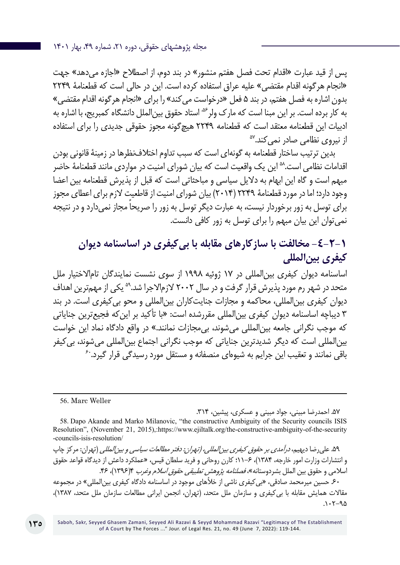پس از قید عبارت »اقدام تحت فصل هفتم منشور« در بند دوم، از اصطالح »اجازه میدهد« جهت »انجام هرگونه اقدام مقتضی« علیه عراق استفاده کرده است. این در حالی است که قطعنامۀ 2249 بدون اشاره به فصل هفتم، در بند 5 فعل »درخواست میکند« را برای »انجام هرگونه اقدام مقتضی« به کار برده است. بر این مبنا است که مارک ولر<sup>&</sup> استاد حقوق بین|لملل دانشگاه کمبریج، با اشاره به ادبیات این قطعنامه معتقد است که قطعنامه ۲۲۴۹ هیچگونه مجوز حقوقی جدیدی را برای استفاده<br>از نیروی نظامی صادر نمی کند.<sup>۵۷</sup>

بدین ترتیب ساختار قطعنامه به گونهای است که سبب تداوم اختالفنظرها در زمینۀ قانونی بودن اقدامات نظامی است.^^ این یک واقعیت است که بیان شورای امنیت در مواردی مانند قطعنامۀ حاضر مبهم است و گاه این ابهام به دالیل سیاسی و مباحثاتی است که قبل از پذیرش قطعنامه بین اعضا وجود دارد؛ اما در مورد قطعنامۀ 2249 )2014( بیان شورای امنیت از قاطعیت الزم برای اعطای مجوز ً برای توسل به زور برخوردار نیست، به عبارت دیگر توسل به زور را صریحا مجاز نمیدارد و در نتیجه نمیتوان این بیان مبهم را برای توسل به زور کافی دانست.

# **-4-2-1 مخالفت با سازکارهای مقابله با بیکیفری در اساسنامه دیوان کیفری بینالمللی**

اساسنامه دیوان کیفری بینالمللی در 17 ژوئیه 1998 از سوی نشست نمایندگان تاماالختیار ملل متحد در شهر رم مورد پذیرش قرار گرفت و در سال 2002 الزماالجرا شد59. یکی از مهمترین اهداف دیوان کیفری بینالمللی، محاکمه و مجازات جنایتکاران بینالمللی و محو بیکیفری است. در بند 3 دیباچه اساسنامه دیوان کیفری بینالمللی مقررشده است: »با تأکید بر اینکه فجیعترین جنایاتی که موجب نگرانی جامعه بین|لمللی می شوند، بی مجازات نمانند.» در واقع دادگاه نماد این خواست بینالمللی است که دیگر شدیدترین جنایاتی که موجب نگرانی اجتماع بینالمللی میشوند، بی کیفر<br>باقی نمانند و تعقیب این جرایم به شیوهای منصفانه و مستقل مورد رسیدگی قرار گیرد.<sup>۶</sup>

56. Marc Weller

.57 احمدرضا مبینی، جواد مبینی و عسکری، پیشین، .314

۵۹. علی رضا دیهیم، *درآمدی بر حقوق کیفری بین المللی، (تهران: دفتر مطالعات سیاسی و بین المللی* (تهران: مرکز چاپ و انتشارات وزارت امور خارجه، 1384(، 11-6؛ کارن روحاني و فرید سلطان قیس، »عملکرد داعش از دیدگاه قواعد حقوق اسلامی و حقوق بین الملل بشردوستانه»*، فصلنامه پژوهش تطبیقی حقوق اسلام وغرب* ۴(۱۳۹۶)، ۴۶. ۶۰ حسین میرمحمد صادقی، «بی کیفری ناشی از خلأهای موجود در اساسنامه دادگاه کیفری بین|لمللی» در مجموعه

مقالات همایش مقابله با بی کیفری و سازمان ملل متحد، (تهران، انجمن ایرانی مطالعات سازمان ملل متحد، ۱۳۸۷)،  $.1.7 - 90$ 

<sup>58</sup>. Dapo Akande and Marko Milanovic, "the constructive Ambiguity of the Security councils ISIS Resolution", (November 21, 2015),:https://www.ejiltalk.org/the-constructive-ambiguity-of-the-security -councils-isis-resolution/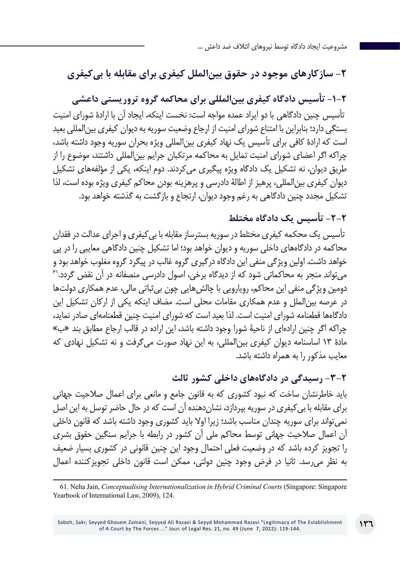# **-2 سازکارهای موجود در حقوق بینالملل کیفری برای مقابله با بیکیفری**

**-1-2 تأسیس دادگاه کیفری بینالمللی برای محاکمه گروه تروریستی داعشی** تأسیس چنین دادگاهی با دو ایراد عمده مواجه است: نخست اینکه، ایجاد آن با ارادۀ شورای امنیت بستگی دارد؛ بنابراین با امتناع شورای امنیت از ارجاع وضعیت سوریه به دیوان کیفری بینالمللی بعید است که ارادۀ کافی برای تأسیس یک نهاد کیفری بینالمللی ویژه بحران سوریه وجود داشته باشد، چراکه اگر اعضای شورای امنیت تمایل به محاکمه مرتکبان جرایم بینالمللی داشتند، موضوع را از طریق دیوان، نه تشکیل یک دادگاه ویژه پیگیری میکردند. دوم اینکه، یکی از مؤلفههای تشکیل دیوان کیفری بینالمللی، پرهیز از اطالۀ دادرسی و پرهزینه بودن محاکم کیفری ویژه بوده است، لذا تشکیل مجدد چنین دادگاهی به رغم وجود دیوان، ارتجاع و بازگشت به گذشته خواهد بود.

# **-2-2 تأسیس یک دادگاه مختلط**

 تأسیس یک محکمه کیفری مختلط در سوریه بسترساز مقابله با بیکیفری و اجرای عدالت در فقدان محاکمه در دادگاههای داخلی سوریه و دیوان خواهد بود؛ اما تشکیل چنین دادگاهی معایبی را در پی خواهد داشت. اولین ویژگی منفی این دادگاه درگیری گروه غالب در پیگرد گروه مغلوب خواهد بود و می تواند منجر به محاکماتی شود که از دیدگاه برخی، اصول دادرسی منصفانه در آن نقض گردد.<sup>۶۱</sup> دومین ویژگی منفی این محاکم، رویارویی با چالشهایی چون بیثباتی مالی، عدم همکاری دولتها در عرصه بینالملل و عدم همکاری مقامات محلی است. مضاف اینکه یکی از ارکان تشکیل این دادگاهها قطعنامه شورای امنیت است. لذا بعید است که شورای امنیت چنین قطعنامهای صادر نماید، چراکه اگر چنین ارادهای از ناحیۀ شورا وجود داشته باشد، این اراده در قالب ارجاع مطابق بند »ب« مادۀ 13 اساسنامه دیوان کیفری بینالمللی، به این نهاد صورت میگرفت و نه تشکیل نهادی که معایب مذکور را به همراه داشته باشد.

## **-3-2 رسیدگی در دادگاههای داخلی کشور ثالث**

باید خاطرنشان ساخت که نبود کشوری که به قانون جامع و مانعی برای اعمال صالحیت جهانی برای مقابله با بیکیفری در سوریه بپردازد، نشاندهنده آن است که در حال حاضر توسل به این اصل نمیتواند برای سوریه چندان مناسب باشد؛ زیرا اوال باید کشوری وجود داشته باشد که قانون داخلی آن اعمال صالحیت جهانی توسط محاکم ملی آن کشور در رابطه با جرایم سنگین حقوق بشری را تجویز کرده باشد که در وضعیت فعلی احتمال وجود این چنین قانونی در کشوری بسیار ضعیف به نظر میرسد. ثانیا در فرض وجود چنین دولتی، ممکن است قانون داخلی تجویزکننده اعمال

61. Neha Jain, *Conceptualising Internationalization in Hybrid Criminal Courts* (Singapore: Singapore Yearbook of International Law, 2009), 124.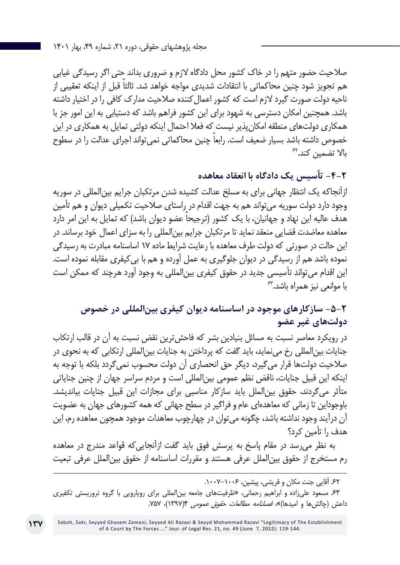صالحیت حضور متهم را در خاک کشور محل دادگاه الزم و ضروری بداند حتی اگر رسیدگی غیابی ً هم تجویز شود چنین محاکماتی با انتقادات شدیدی مواجه خواهد شد. ثالثا قبل از اینکه تعقیبی از ناحیه دولت صورت گیرد الزم است که کشور اعمالکننده صالحیت مدارک کافی را در اختیار داشته باشد. همچنین امکان دسترسی به شهود برای این کشور فراهم باشد که دستیابی به این امور جز با همکاری دولتهای منطقه امکانپذیر نیست که فعال احتمال اینکه دولتی تمایل به همکاری در این خصوص داشته باشد بسیار ضعیف است. رابعا چنین محاکماتی نمیتواند اجرای عدالت را در سطوح<br>بالا تضمین کند.<sup>۶۲</sup>

**-4-2 تأسیس یک دادگاه با انعقاد معاهده**

ازآنجاکه یک انتظار جهانی برای به مسلخ عدالت کشیده شدن مرتکبان جرایم بینالمللی در سوریه وجود دارد دولت سوریه میتواند هم به جهت اقدام در راستای صالحیت تکمیلی دیوان و هم تأمین هدف عالیه این نهاد و جهانیان، با یک کشور (ترجیحاً عضو دیوان باشد) که تمایل به این امر دارد معاهده معاضدت قضایی منعقد نماید تا مرتکبان جرایم بینالمللی را به سزای اعمال خود برساند. در این حالت در صورتی که دولت طرف معاهده با رعایت شرایط ماده 17 اساسنامه مبادرت به رسیدگی نموده باشد هم از رسیدگی در دیوان جلوگیری به عمل آورده و هم با بیکیفری مقابله نموده است. این اقدام میتواند تأسیسی جدید در حقوق کیفری بینالمللی به وجود آورد هرچند که ممکن است با موان*عی* نیز همراه باشد.<sup>۶۳</sup>

# **-5-2 سازکارهای موجود در اساسنامه دیوان کیفری بینالمللی در خصوص دولتهای غیر عضو**

در رویکرد معاصر نسبت به مسائل بنیادین بشر که فاحشترین نقض نسبت به آن در قالب ارتکاب جنایات بینالمللی رخ مینماید، باید گفت که پرداختن به جنایات بینالمللی ارتکابی که به نحوی در صالحیت دولتها قرار میگیرد، دیگر حق انحصاری آن دولت محسوب نمیگردد بلکه با توجه به اینکه این قبیل جنایات، ناقض نظم عمومی بینالمللی است و مردم سراسر جهان از چنین جنایاتی متأثر میگردند، حقوق بینالملل باید سازکار مناسبی برای مجازات این قبیل جنایات بیاندیشد. باوجوداین تا زمانی که معاهدهای عام و فراگیر در سطح جهانی که همه کشورهای جهان به عضویت آن درآیند وجود نداشته باشد، چگونه میتوان در چهارچوب معاهدات موجود همچون معاهده رم، این هدف را تأمین کرد؟

به نظر میرسد در مقام پاسخ به پرسش فوق باید گفت ازآنجاییکه قواعد مندرج در معاهده رم مستخرج از حقوق بینالملل عرفی هستند و مقررات اساسنامه از حقوق بینالملل عرفی تبعیت

۶۲. آقایی جنت مکان و قریشی، پیشین، ۱۰۰۶–۱۰۰۷.

.63 مسعود علیزاده و ابراهیم رحمانی، »ظرفیتهای جامعه بینالمللی برای رویارویی با گروه تروریستی تکفیری داعش (چالشها و امیدها)»، *فصلنامه مطالعات حقوق عمومی* ۹(۱۳۹۷)، ۷۵۷.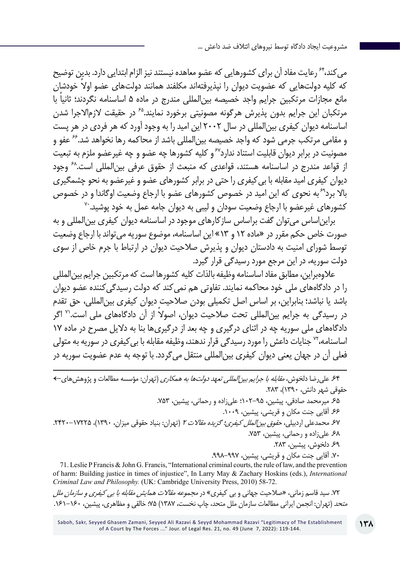می کند، ٔ<sup>۶۴</sup> رعایت مفاد آن برای کشورهایی که عضو معاهده نیستند نیز الزام ابتدایی دارد. بدین توضیح که کلیه دولتهایی که عضویت دیوان را نپذیرفتهاند مکلفند همانند دولتهای عضو اولا خودشان مانع مجازات مرتکبین جرایم واجد خصیصه بینالمللی مندرج در ماده 5 ً اساسنامه نگردند؛ ثانیا با مرتکبان این جرایم بدون پذیرش هرگونه مصونیتی برخورد نمایند.<sup>۶۵</sup> در حقیقت لازمالاجرا شدن اساسنامه دیوان کیفری بینالمللی در سال 2002 این امید را به وجود آورد که هر فردی در هر پست و مقامی مرتکب جرمی شود که واجد خصیصه بینالمللی باشد از محاکمه رها نخواهد شد66. عفو و مصونیت در برابر دیوان قابلیت استناد ندارد<sup>۶۷</sup> و کلیه کشورها چه عضو و چه غیرعضو ملزم به تبعیت از قواعد مندرج در اساسنامه هستند، قواعدی که منبعث از حقوق عرفی بین|لمللی است.<sup>۶۸</sup> وجود دیوان کیفری امید مقابله با بیکیفری را حتی در برابر کشورهای عضو و غیرعضو به نحو چشمگیری بالا برد<sup>۶۹</sup>به نحوی که این امید در خصوص کشورهای عضو با ارجاع وضعیت اوگاندا و در خصوص<br>کشورهای غیرعضو با ارجاع وضعیت سودان و لیبی به دیوان جامه عمل به خود یوشید.<sup>۷۰</sup>

برایناساس میتوان گفت براساس سازکارهای موجود در اساسنامه دیوان کیفری بینالمللی و به صورت خاص حکم مقرر در »ماده 12 و 13« این اساسنامه، موضوع سوریه میتواند با ارجاع وضعیت توسط شورای امنیت به دادستان دیوان و پذیرش صالحیت دیوان در ارتباط با جرم خاص از سوی دولت سوریه، در این مرجع مورد رسیدگی قرار گیرد.

عالوهبراین، مطابق مفاد اساسنامه وظیفه بالذات کلیه کشورها است که مرتکبین جرایم بینالمللی را در دادگاههای ملی خود محاکمه نمایند. تفاوتی هم نمی کند که دولت رسیدگی کننده عضو دیوان باشد یا نباشد؛ بنابراین، بر اساس اصل تکمیلی بودن صالحیت دیوان کیفری بینالمللی، حق تقدم در رسیدگی به جرایم بین|لمللی تحت صلاحیت دیوان، اصولاً از آن دادگاههای ملی است.'` اگر دادگاههای ملی سوریه چه در اثنای درگیری و چه بعد از درگیریها بنا به دالیل مصرح در ماده 17 اساسنامه، <sup>۷۲</sup> جنایات داعش را مورد رسیدگی قرار ندهند، وظیفه مقابله با بی کیفری در سوریه به متولی فعلی آن در جهان یعنی دیوان کیفری بینالمللی منتقل میگردد. با توجه به عدم عضویت سوریه در

.64 علیرضا دلخوش، مقابله با جرایم بینالمللی تعهد دولتها به همکاری )تهران: مؤسسه مطالعات و پژوهشهای← حقوقی شهر دانش، 1390(، .283 .65 میرمحمد صادقی، پیشین، 102-95؛ علیزاده و رحمانی، پیشین، .753 ۶۶ آقایی جنت مکان و قریشی، پیشین، ۱۰۰۹. ۶۷ محمدعلی اردبیلی، ح*قوق بین الملل کیفری؛ گزیده مقالات ۲* (تهران: بنیاد حقوقی میزان، ۱۳۹۰)، ۱۲۲۵–۲۴۲۰. .68 علیزاده و رحمانی، پیشین، .753 .69 دلخوش، پیشین، .283 .70 آقایی جنت مکان و قریشی، پیشین، .998-997

71. Leslie P Francis & John G. Francis, "International criminal courts, the rule of law, and the prevention of harm: Building justice in times of injustice", In Larry May & Zachary Hoskins (eds.), *International Criminal Law and Philosophy.* (UK: Cambridge University Press, 2010) 58-72.

.72 سید قاسم زمانی، »صالحیت جهانی و بی کیفری« در مجموعه مقاالت همایش مقابله با بی کیفری و سازمان ملل متحد )تهران: انجمن ایرانی مطالعات سازمان ملل متحد، چاپ نخست، 1387( 75؛ خالقي و مظاهری، پیشین، .161-160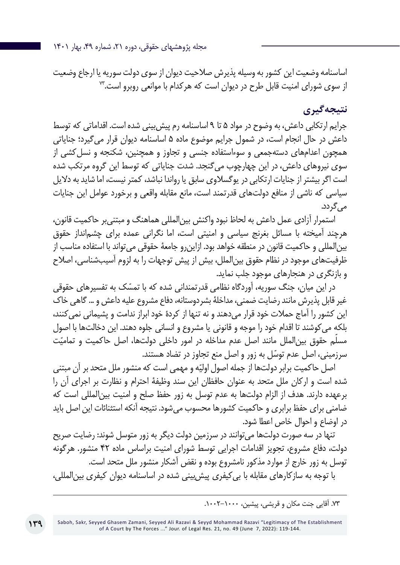مجله پژوهشهای حقوقی، دوره ۲۱، شماره ۴۹، بهار ۱۴۰۱

اساسنامه وضعیت این کشور به وسیله پذیرش صالحیت دیوان از سوی دولت سوریه یا ارجاع وضعیت از سوی شورای امنیت قابل طرح در دیوان است که هرکدام با موانعی روبرو است.<sup>34</sup>

## **نتیجهگیری**

جرایم ارتکابی داعش، به وضوح در مواد 5 تا 9 اساسنامه رم پیشبینی شده است. اقداماتی که توسط داعش در حال انجام است، در شمول جرایم موضوع ماده 5 اساسنامه دیوان قرار میگیرد؛ جنایاتی همچون اعدامهای دستهجمعی و سوءاستفاده جنسی و تجاوز و همچنین، شکنجه و نسلکشی از سوی نیروهای داعش، در این چهارچوب میگنجد. شدت جنایاتی که توسط این گروه مرتکب شده است اگر بیشتر از جنایات ارتکابی در یوگسالوی سابق یا رواندا نباشد، کمتر نیست، اما شاید به دالیل سیاسی که ناشی از منافع دولتهای قدرتمند است، مانع مقابله واقعی و برخورد عوامل این جنایات می گردد.

استمرار آزادی عمل داعش به لحاظ نبود واکنش بینالمللی هماهنگ و مبتنیبر حاکمیت قانون، هرچند آمیخته با مسائل بغرنج سیاسی و امنیتی است، اما نگرانی عمده برای چشمانداز حقوق بینالمللی و حاکمیت قانون در منطقه خواهد بود. ازاینرو جامعۀ حقوقی میتواند با استفاده مناسب از ظرفیتهای موجود در نظام حقوق بینالملل، بیش از پیش توجهات را به لزوم آسیبشناسی، اصالح و بازنگری در هنجارهای موجود جلب نماید.

در این میان، جنگ سوریه، آوردگاه نظامی قدرتمندانی شده که با تمسّک به تفسیرهای حقوقی<br>غیر قابل پذیرش مانند رضایت ضمنی، مداخلهٔ بشردوستانه، دفاع مشروع علیه داعش و ... گاهی خاک این کشور را آماج حمالت خود قرار میدهند و نه تنها از کردۀ خود ابراز ندامت و پشیمانی نمیکنند، بلکه میکوشند تا اقدام خود را موجه و قانونی یا مشروع و انسانی جلوه دهند. این دخالتها با اصول مسلّم حقوق بین|لملل مانند اصل عدم مداخله در امور داخلی دولتها، اصل حاکمیت و تمامیّت ّ سرزمینی، اصل عدم توسل به زور و اصل منع تجاوز در تضاد هستند.

اصل حاکمیت برابر دولتها از جمله اصول اولیّه و مهمی است که منشور ملل متحد بر آن مبتنی شده است و ارکان ملل متحد به عنوان حافظان این سند وظیفۀ احترام و نظارت بر اجرای آن را برعهده دارند. هدف از الزام دولتها به عدم توسل به زور حفظ صلح و امنیت بینالمللی است که ضامنی برای حفظ برابری و حاکمیت کشورها محسوب میشود. نتیجه آنکه استثنائات این اصل باید در اوضاع و احوال خاص اعطا شود.

تنها در سه صورت دولتها می توانند در سرزمین دولت دیگر به زور متوسل شوند: رضایت صریح دولت، دفاع مشروع، تجویز اقدامات اجرایی توسط شورای امنیت براساس ماده 42 منشور. هرگونه توسل به زور خارج از موارد مذکور نامشروع بوده و نقض آشکار منشور ملل متحد است. با توجه به سازکارهای مقابله با بیکیفری پیشبینی شده در اساسنامه دیوان کیفری بینالمللی،

<sup>.73</sup> آقایی جنت مکان و قریشی، پیشین، .1002-1000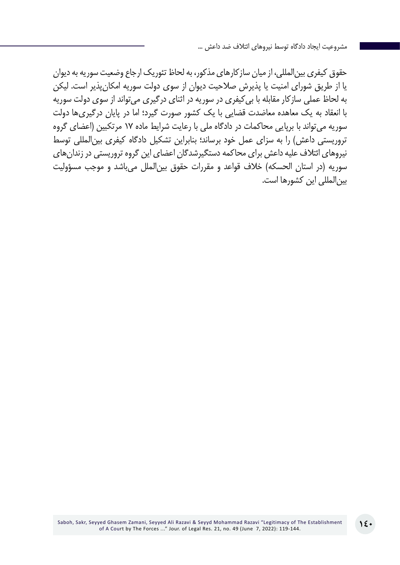حقوق کیفری بینالمللی، از میان سازکارهای مذکور، به لحاظ تئوریک ارجاع وضعیت سوریه به دیوان یا از طریق شورای امنیت یا پذیرش صالحیت دیوان از سوی دولت سوریه امکانپذیر است. لیکن به لحاظ عملی سازکار مقابله با بیکیفری در سوریه در اثنای درگیری میتواند از سوی دولت سوریه با انعقاد به یک معاهده معاضدت قضایی با یک کشور صورت گیرد؛ اما در پایان درگیریها دولت سوریه می تواند با برپایی محاکمات در دادگاه ملی با رعایت شرایط ماده ۱۷ مرتکبین (اعضای گروه تروریستی داعش) را به سزای عمل خود برساند؛ بنابراین تشکیل دادگاه کیفری بین المللی توسط نیروهای ائتالف علیه داعش برای محاکمه دستگیرشدگان اعضای این گروه تروریستی در زندانهای سوریه (در استان الحسکه) خلاف قواعد و مقررات حقوق بین|لملل می،باشد و موجب مسؤولیت بینالمللی این کشورها است.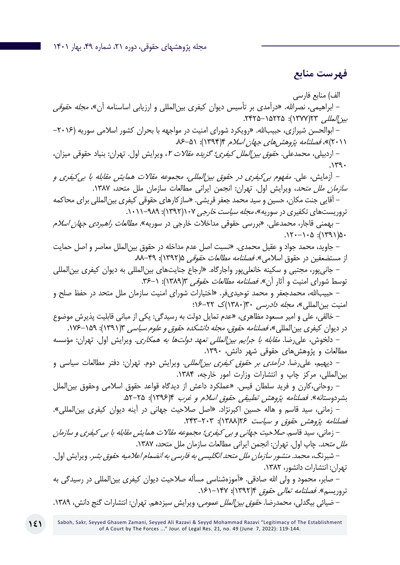**فهرست منابع**

الف) منابع فارسی – ابراهیمی، نصرالله. «درآمدی بر تأسیس دیوان کیفری بینالمللی و ارزیابی اساسنامه آن»، *مجله حقوقی*  $\mu$ بین /الملله 27(١٣٧٧): ۲۴۲۵–۲۴۲۵. – ابوالحسن شیرازی، حبیبالله. «رویکرد شورای امنیت در مواجهه با بحران کشور اسلامی سوریه (۲۰۱۶– (۲۰۱۱)»، فصلنامه پژوهش های جهان اسلام ۱۳۹۴): ۵۱-۸۶. – اردبیلی، محمدعلی. ح*قوق بین الملل کیفری؛ گزیده مقالات ۲*، ویرایش اول. تهران: بنیاد حقوقی میزان،  $.149.$ - آزمایش، علی. مفهوم بیکیفری در حقوق بینالمللی، مجموعه مقاالت همایش مقابله با بیکیفری و س*ازمان ملل متحد*، ویرایش اول. تهران: انجمن ایرانی مطالعات سازمان ملل متحد، ۱۳۸۷. - آقایی جنت مکان، حسین و سید محمد جعفر قریشی. »سازکارهای حقوقی کیفری بینالمللی برای محاکمه تروریستهای تکفیری در سوریه»، *مجله سیاست خارجی ۱۰۷*(۱۳۹۲): ۹۸۹–۱۰۱۱. – بهمنی قاجار، محمدعلی. «بررسی حقوقی مداخلات خارجی در سوریه». *مطالعات راهبردی جهان اسلام*  $.17 - 1.0$ : (1391) - جاوید، محمد جواد و عقیل محمدی. »نسبت اصل عدم مداخله در حقوق بينالملل معاصر و اصل حمايت از مستضعفين در حقوق اسلامي». *فصلنامه مطالعات حقوقی* ۵(۱۳۹۲): ۸۹–۸۸. - جانیپور، مجتبی و سکینه خانعلیپور واجارگاه. »ارجاع جنایتهای بینالمللی به دیوان کیفری بینالمللی توسط شورای امنیت و آثار آن». *فصلنامه مطالعات حقوقی (۱*۳۸۹): ۱-۳۶. - حبیباهلل، محمدجعفر و محمد توحیدیفر. »اختیارات شورای امنیت سازمان ملل متحد در حفظ صلح و امنیت بین المللی»، *مجله دادرسی* ۳۰(۱۳۸۰)ک ۲۲-۱۶: - خالقی، علی و امیر مسعود مظاهری، »عدم تمایل دولت به رسیدگی: یکی از مبانی قابلیت پذیرش موضوع در دیوان کیفری بین|لمللی»، *فصلنامه حقوق، مجله دانشکده حقوق و علوم سیاسی* ۳(۱۳۹۱): ۱۵۹–۱۷۶. - دلخوش، علیرضا. مقابله با جرایم بینالمللی تعهد دولتها به همکاری. ویرایش اول. تهران: مؤسسه مطالعات و پژوهشهای حقوقی شهر دانش، .1390 - دیهیم، علیرضا. درآمدی بر حقوق کیفری بینالمللی. ویرایش دوم. تهران: دفتر مطالعات سیاسی و بین|لمللی، مرکز چاپ و انتشارات وزارت امور خارجه، ۱۳۸۴. - روحاني،کارن و فرید سلطان قیس. »عملکرد داعش از دیدگاه قواعد حقوق اسالمی وحقوق بینالملل بشردوستانه». *فصلنامه پژوهش تطبیقی حقوق اسلام و غرب* ۴(۱۳۹۶): ۲۵-۵۲. - زمانی، سید قاسم و هاله حسین اکبرنژاد. »اصل صالحیت جهانی در آینه دیوان کیفری بینالمللی«. فصلنامه پژوهش حقوق و سیاست ۱۳۸۶/۶۴ (۱۳۸۸): ۲۰۳-۲۴۳. - زماني، سید قاسم. صالحیت جهانی و بی کیفری؛ مجموعه مقاالت همایش مقابله با بی کیفری و سازمان *ملل متحد*. چاپ اول. تهران: انجمن ایرانی مطالعات سازمان ملل متحد، ۱۳۸۷. - شبرنگ، محمد. منشور سازمان ملل متحد انگلیسی به فارسی به انضمام اعالمیه حقوق بشر. ویرایش اول. تهران: انتشارات دانشور، .1382 – صابر، محمود و ولی الله صادقی. «آموزهشناسی مسأله صلاحیت دیوان کیفری بین|لمللی در رسیدگی به تروریسم». *فصلنامه تعالی حقوق* ۴(۱۳۹۲): ۱۶۱–۱۶۱. – ضیائی بیگدلی، محمدرضا. *حقوق بین الملل عمومی،* ویرایش سیزدهم. تهران: انتشارات گنج دانش، ۱۳۸۹.

Saboh, Sakr, Seyyed Ghasem Zamani, Seyyed Ali Razavi & Seyyd Mohammad Razavi "Legitimacy of The Establishment of A Court by The Forces ..." Jour. of Legal Res. 21, no. 49 (June 7, 2022): 119-144.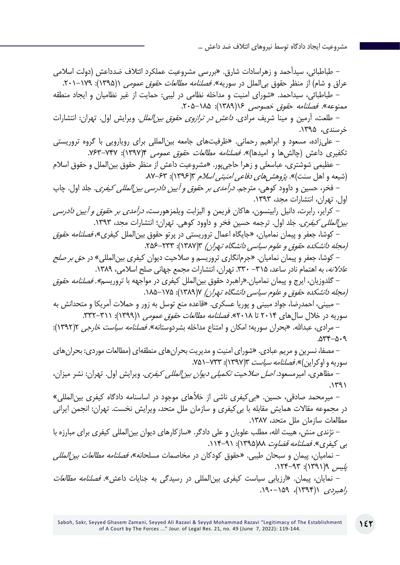- طباطبائی، سیدأحمد و زهراسادات شارق. »بررسی مشروعیت عملکرد ائتالف ضدداعش )دولت اسالمی عراق و شام) از منظر حقوق بی الملل در سوریه». *فصلنامه مطالعات حقوق عمومی* ((۱۳۹۵): ۱۷۹–۲۰۱. - طباطبائی، سیداحمد. »شورای امنیت و مداخله نظامی در لیبی: حمایت از غیر نظامیان و ایجاد منطقه ممنوعه». *فصلنامه حقوق خصوصی ۱۶(۱۳۸۹): ۲۰۵*–۲۰۵. - طلعت، آرمین و مینا شریف مرادی. داعش در ترازوی حقوق بینالملل. ویرایش اول. تهران: انتشارات خرسندی، .1395 - علیزاده، مسعود و ابراهیم رحمانی. »ظرفیتهای جامعه بینالمللی برای رویارویی با گروه تروریستی تکفیری داعش (چالشها و امیدها)»*. فصلنامه مطالعات حقوق عمومی* ۱۳۹۷/۴: ۷۶۲–۷۶۳. - عظیمی شوشتری، عباسعلی و زهرا حاجیپور. »مشروعیت داعش از منظر حقوق بینالملل و حقوق اسالم (شیعه و اهل سنت)». پ*ژوهش های دفاعی امنیتی اسلام* ۶۳(۱۳۹۶): ۶۳-۸۷. - فخر، حسین و داوود کوهی، مترجم. درآمدی بر حقوق و آیین دادرسی بینالمللی کیفری. جلد اول. چاپ اول. تهران، انتشارات مجد، .1393 - کرایر، رابرت، دانیل رابینسون، هاکان فریمن و الیزابت ویلمزهورست، درآمدی بر حقوق و آیین دادرسی بیز *المللی کیفری*. جلد اول. ترجمه حسین فخر و داوود کوهی. تهران؛ انتشارات مجد، ۱۳۹۳. – کوشا، جعفر و پیمان نمامیان، «جایگاه اعمال تروریستی در پرتو حقوق بین|لملل کیفری»، *فصلنامه حقوق* (مجله دانشکده حقوق و علوم سیاسی دانشگاه تهران) ۱۳۸۳(): ۲۳۳-۲۵۶. - کوشا، جعفر و پیمان نمامیان. »جرمانگاری تروریسم و صالحیت دیوان کیفری بینالمللی« در حق بر صلح عادلانه، به اهتمام نادر ساعد، ٣١۵- ٣٣٠. تهران، انتشارات مجمع جهانی صلح اسلامی، ١٣٨٩. - گلدوزیان، ایرج و پیمان نمامیان.»راهبرد حقوق بینالملل کیفری در مواجهه با تروریسم«. فصلنامه حقوق )مجله دانشکده حقوق و علوم سیاسی دانشگاه تهران( 7)1389(: .185-175 - مبینی، احمدرضا، جواد مبینی و پوریا عسکری. »قاعده منع توسل به زور و حمالت آمریکا و متحدانش به سوریه در خلال سال های ۲۰۱۴ تا ۲۰۱۸». *فصلنامه مطالعات حقوق عمومی* ۱(۱۳۹۹): ۳۳۱-۳۳۲. - مرادی، عبدالله. «بحران سوریه؛ امکان و امتناع مداخله بشردوستانه». *فصلنامه سیاست خارجی* ۲(۱۳۹۲):  $.05 - 0.9$ - مصفا، نسرین و مریم عبادی. »شورای امنیت و مدیریت بحرانهای منطقهای )مطالعات موردی: بحرانهای سوریه و اوکراین)». *فصلنامه سیاست* ۳(۱۳۹۷): ۷۳۳–۷۵۱. - مظاهری، امیرمسعود. اصل صالحیت تکمیلی دیوان بینالمللی کیفری. ویرایش اول. تهران: نشر میزان،  $.1491$ - میرمحمد صادقی، حسین. »بیکیفری ناشی از خألهای موجود در اساسنامه دادگاه کیفری بینالمللی« در مجموعه مقاالت همایش مقابله با بیکیفری و سازمان ملل متحد، ویرایش نخست. تهران: انجمن ایرانی مطالعات سازمان ملل متحد، .1387 - نژندی منش، هیبت اهلل، مطلب علویان و علی دادگر. »سازکارهای دیوان بینالمللی کیفری برای مبارزه با بی کیفری». *فصلنامه قضاوت ۱*۸(۱۳۹۵): ۹۱–۱۱۴. – نمامیان، پیمان و سبحان طیبی. «حقوق کودکان در مخاصمات مسلحانه»، *فصلنامه مطالعات بین المللی*  $\lim_{\omega\to 0} \int$ (۱۳۹۱): ۹۳-۱۲۴. – نمایان، پیمان. «ارزیابی سیاست کیفری بین|لمللی در رسیدگی به جنایات داعش». *فصلنامه مطالعات* راهبردی 1)1394(، .190-159

**142**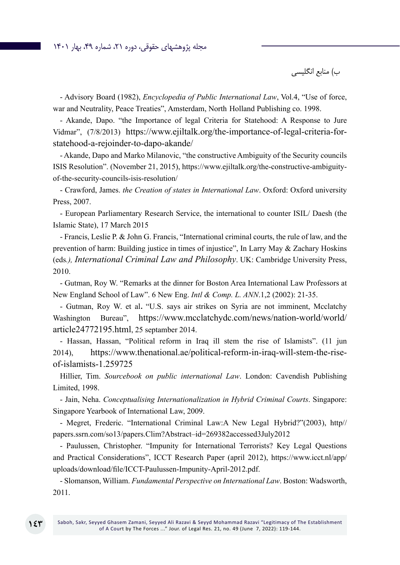#### مجله پژوهشهای حقوقی، دوره ،21 شماره ،49 بهار 1401

ب) منابع انگلیسی

- Advisory Board (1982), *Encyclopedia of Public International Law*, Vol.4, "Use of force, war and Neutrality, Peace Treaties", Amsterdam, North Holland Publishing co. 1998.

- Akande, Dapo. "the Importance of legal Criteria for Statehood: A Response to Jure Vidmar", (7/8/2013) https://www.ejiltalk.org/the-importance-of-legal-criteria-forstatehood-a-rejoinder-to-dapo-akande/

- Akande, Dapo and Marko Milanovic, "the constructive Ambiguity of the Security councils ISIS Resolution". (November 21, 2015), https://www.ejiltalk.org/the-constructive-ambiguityof-the-security-councils-isis-resolution/

- Crawford, James. *the Creation of states in International Law*. Oxford: Oxford university Press, 2007.

- European Parliamentary Research Service, the international to counter ISIL/ Daesh (the Islamic State), 17 March 2015

- Francis, Leslie P. & John G. Francis, "International criminal courts, the rule of law, and the prevention of harm: Building justice in times of injustice", In Larry May & Zachary Hoskins (eds*.), International Criminal Law and Philosophy*. UK: Cambridge University Press, 2010.

- Gutman, Roy W. "Remarks at the dinner for Boston Area International Law Professors at New England School of Law". 6 New Eng. *Intl & Comp. L. ANN*.1,2 (2002): 21-35.

- Gutman, Roy W. et al. "U.S. says air strikes on Syria are not imminent, Mcclatchy Washington Bureau", https://www.mcclatchydc.com/news/nation-world/world/ article24772195.html, 25 septamber 2014.

- Hassan, Hassan, "Political reform in Iraq ill stem the rise of Islamists". (11 jun 2014), https://www.thenational.ae/political-reform-in-iraq-will-stem-the-riseof-islamists-1.259725

Hillier, Tim. *Sourcebook on public international Law*. London: Cavendish Publishing Limited, 1998.

- Jain, Neha. *Conceptualising Internationalization in Hybrid Criminal Courts*. Singapore: Singapore Yearbook of International Law, 2009.

- Megret, Frederic. "International Criminal Law:A New Legal Hybrid?"(2003), http// papers.ssrn.com/so13/papers.Clim?Abstract–id=269382accessed3July2012

- Paulussen, Christopher. "Impunity for International Terrorists? Key Legal Questions and Practical Considerations", ICCT Research Paper (april 2012), https://www.icct.nl/app/ uploads/download/file/ICCT-Paulussen-Impunity-April-2012.pdf.

- Slomanson, William. *Fundamental Perspective on International Law*. Boston: Wadsworth, 2011.